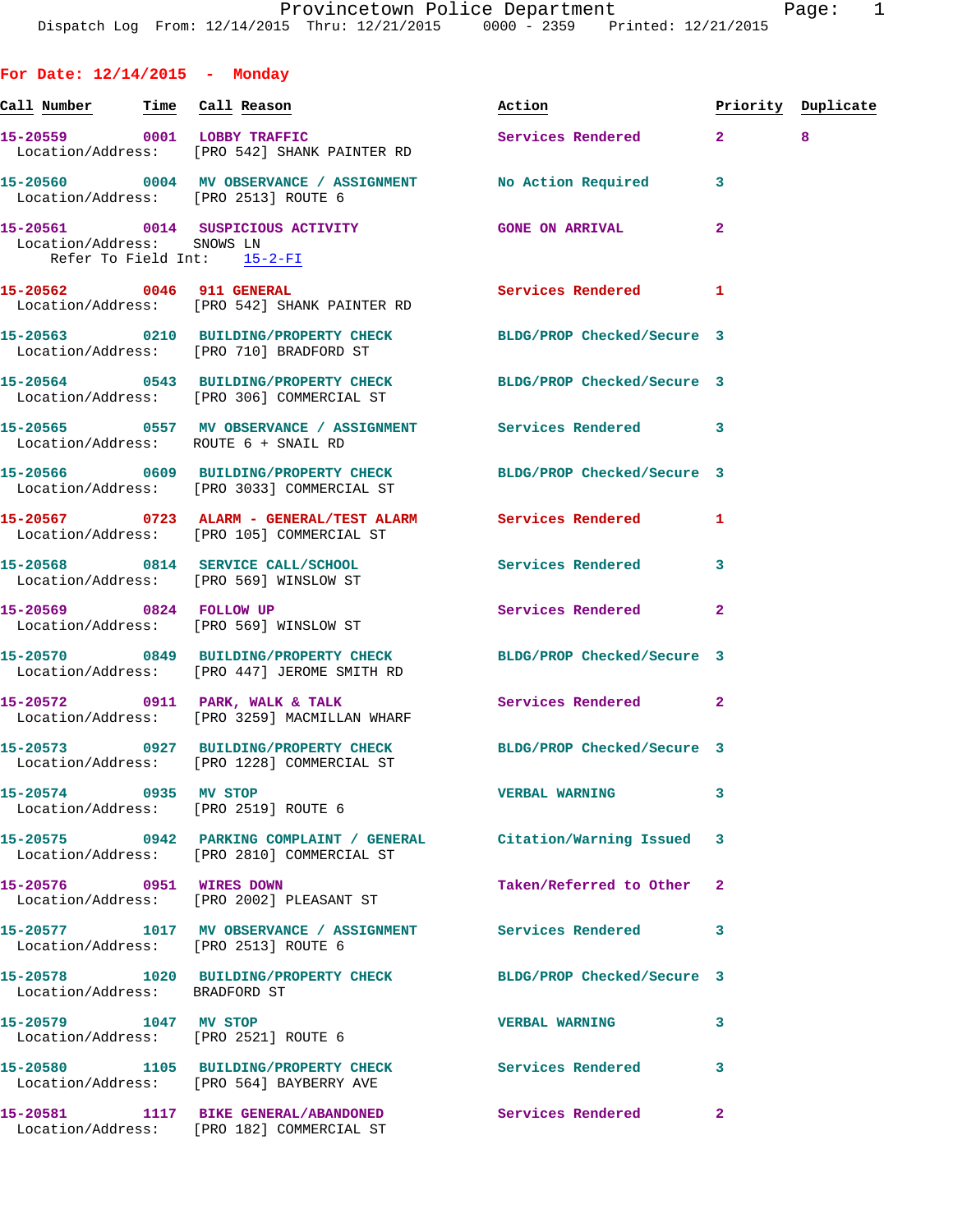**For Date: 12/14/2015 - Monday Call Number Time Call Reason Action Priority Duplicate 15-20559 0001 LOBBY TRAFFIC Services Rendered 2 8**  Location/Address: [PRO 542] SHANK PAINTER RD **15-20560 0004 MV OBSERVANCE / ASSIGNMENT No Action Required 3**  Location/Address: [PRO 2513] ROUTE 6 **15-20561 0014 SUSPICIOUS ACTIVITY GONE ON ARRIVAL 2**  Location/Address: SNOWS LN Refer To Field Int: 15-2-FI **15-20562 0046 911 GENERAL Services Rendered 1**  Location/Address: [PRO 542] SHANK PAINTER RD **15-20563 0210 BUILDING/PROPERTY CHECK BLDG/PROP Checked/Secure 3**  Location/Address: [PRO 710] BRADFORD ST **15-20564 0543 BUILDING/PROPERTY CHECK BLDG/PROP Checked/Secure 3**  Location/Address: [PRO 306] COMMERCIAL ST **15-20565 0557 MV OBSERVANCE / ASSIGNMENT Services Rendered 3**  Location/Address: ROUTE 6 + SNAIL RD **15-20566 0609 BUILDING/PROPERTY CHECK BLDG/PROP Checked/Secure 3**  Location/Address: [PRO 3033] COMMERCIAL ST **15-20567 0723 ALARM - GENERAL/TEST ALARM Services Rendered 1**  Location/Address: [PRO 105] COMMERCIAL ST **15-20568 0814 SERVICE CALL/SCHOOL Services Rendered 3**  Location/Address: [PRO 569] WINSLOW ST **15-20569 0824 FOLLOW UP Services Rendered 2**  Location/Address: [PRO 569] WINSLOW ST **15-20570 0849 BUILDING/PROPERTY CHECK BLDG/PROP Checked/Secure 3**  Location/Address: [PRO 447] JEROME SMITH RD **15-20572 0911 PARK, WALK & TALK Services Rendered 2**  Location/Address: [PRO 3259] MACMILLAN WHARF **15-20573 0927 BUILDING/PROPERTY CHECK BLDG/PROP Checked/Secure 3**  Location/Address: [PRO 1228] COMMERCIAL ST **15-20574 0935 MV STOP VERBAL WARNING 3**  Location/Address: [PRO 2519] ROUTE 6 **15-20575 0942 PARKING COMPLAINT / GENERAL Citation/Warning Issued 3**  Location/Address: [PRO 2810] COMMERCIAL ST **15-20576 0951 WIRES DOWN Taken/Referred to Other 2**  Location/Address: [PRO 2002] PLEASANT ST **15-20577 1017 MV OBSERVANCE / ASSIGNMENT Services Rendered 3**  Location/Address: [PRO 2513] ROUTE 6 **15-20578 1020 BUILDING/PROPERTY CHECK BLDG/PROP Checked/Secure 3**  Location/Address: BRADFORD ST **15-20579 1047 MV STOP VERBAL WARNING 3**  Location/Address: [PRO 2521] ROUTE 6 **15-20580 1105 BUILDING/PROPERTY CHECK Services Rendered 3**  Location/Address: [PRO 564] BAYBERRY AVE **15-20581 1117 BIKE GENERAL/ABANDONED Services Rendered 2**  Location/Address: [PRO 182] COMMERCIAL ST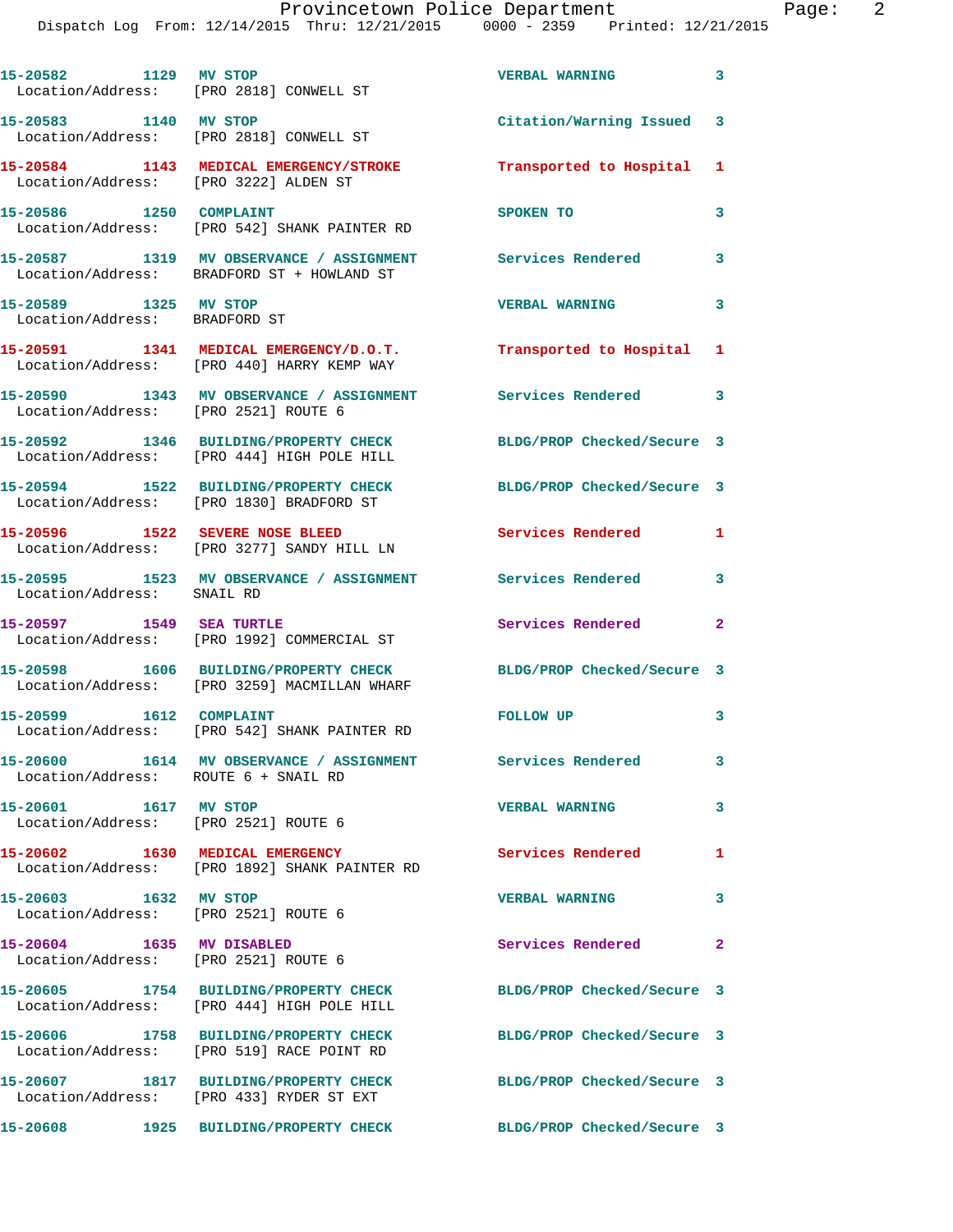| 15-20582 1129 MV STOP                                             | Location/Address: [PRO 2818] CONWELL ST                                                                    | <b>VERBAL WARNING</b>      | $\overline{\mathbf{3}}$ |
|-------------------------------------------------------------------|------------------------------------------------------------------------------------------------------------|----------------------------|-------------------------|
| 15-20583    1140 MV STOP                                          | Location/Address: [PRO 2818] CONWELL ST                                                                    | Citation/Warning Issued 3  |                         |
| Location/Address: [PRO 3222] ALDEN ST                             | 15-20584 1143 MEDICAL EMERGENCY/STROKE                                                                     | Transported to Hospital    | 1                       |
| 15-20586 1250 COMPLAINT                                           | Location/Address: [PRO 542] SHANK PAINTER RD                                                               | SPOKEN TO                  | 3                       |
|                                                                   | 15-20587 1319 MV OBSERVANCE / ASSIGNMENT Services Rendered<br>Location/Address: BRADFORD ST + HOWLAND ST   |                            | $\overline{\mathbf{3}}$ |
| 15-20589 1325 MV STOP<br>Location/Address: BRADFORD ST            |                                                                                                            | <b>VERBAL WARNING</b>      | 3                       |
|                                                                   | 15-20591 1341 MEDICAL EMERGENCY/D.O.T.                                                                     | Transported to Hospital 1  |                         |
|                                                                   | Location/Address: [PRO 440] HARRY KEMP WAY<br>15-20590 1343 MV OBSERVANCE / ASSIGNMENT Services Rendered 3 |                            |                         |
| Location/Address: [PRO 2521] ROUTE 6                              | 15-20592 1346 BUILDING/PROPERTY CHECK                                                                      | BLDG/PROP Checked/Secure 3 |                         |
|                                                                   | Location/Address: [PRO 444] HIGH POLE HILL<br>15-20594 1522 BUILDING/PROPERTY CHECK                        | BLDG/PROP Checked/Secure 3 |                         |
|                                                                   | Location/Address: [PRO 1830] BRADFORD ST<br>15-20596 1522 SEVERE NOSE BLEED                                | Services Rendered 1        |                         |
|                                                                   | Location/Address: [PRO 3277] SANDY HILL LN                                                                 |                            |                         |
| Location/Address: SNAIL RD                                        | 15-20595 1523 MV OBSERVANCE / ASSIGNMENT Services Rendered                                                 |                            | 3                       |
| 15-20597 1549 SEA TURTLE                                          | Location/Address: [PRO 1992] COMMERCIAL ST                                                                 | Services Rendered          | $\overline{2}$          |
|                                                                   | 15-20598 1606 BUILDING/PROPERTY CHECK<br>Location/Address: [PRO 3259] MACMILLAN WHARF                      | BLDG/PROP Checked/Secure 3 |                         |
| 15-20599    1612    COMPLAINT                                     | Location/Address: [PRO 542] SHANK PAINTER RD                                                               | <b>FOLLOW UP</b>           | 3                       |
| Location/Address: ROUTE 6 + SNAIL RD                              | 15-20600 1614 MV OBSERVANCE / ASSIGNMENT Services Rendered                                                 |                            | 3                       |
| 15-20601 1617 MV STOP<br>Location/Address: [PRO 2521] ROUTE 6     |                                                                                                            | <b>VERBAL WARNING</b>      | 3                       |
| 15-20602 1630 MEDICAL EMERGENCY                                   | Location/Address: [PRO 1892] SHANK PAINTER RD                                                              | Services Rendered          | 1                       |
| 15-20603 1632 MV STOP<br>Location/Address: [PRO 2521] ROUTE 6     |                                                                                                            | <b>VERBAL WARNING</b>      | 3                       |
| 15-20604 1635 MV DISABLED<br>Location/Address: [PRO 2521] ROUTE 6 |                                                                                                            | Services Rendered 2        |                         |
|                                                                   | 15-20605 1754 BUILDING/PROPERTY CHECK<br>Location/Address: [PRO 444] HIGH POLE HILL                        | BLDG/PROP Checked/Secure 3 |                         |
|                                                                   | 15-20606 1758 BUILDING/PROPERTY CHECK<br>Location/Address: [PRO 519] RACE POINT RD                         | BLDG/PROP Checked/Secure 3 |                         |
|                                                                   | 15-20607 1817 BUILDING/PROPERTY CHECK                                                                      | BLDG/PROP Checked/Secure 3 |                         |
|                                                                   | Location/Address: [PRO 433] RYDER ST EXT<br>15-20608 1925 BUILDING/PROPERTY CHECK                          | BLDG/PROP Checked/Secure 3 |                         |
|                                                                   |                                                                                                            |                            |                         |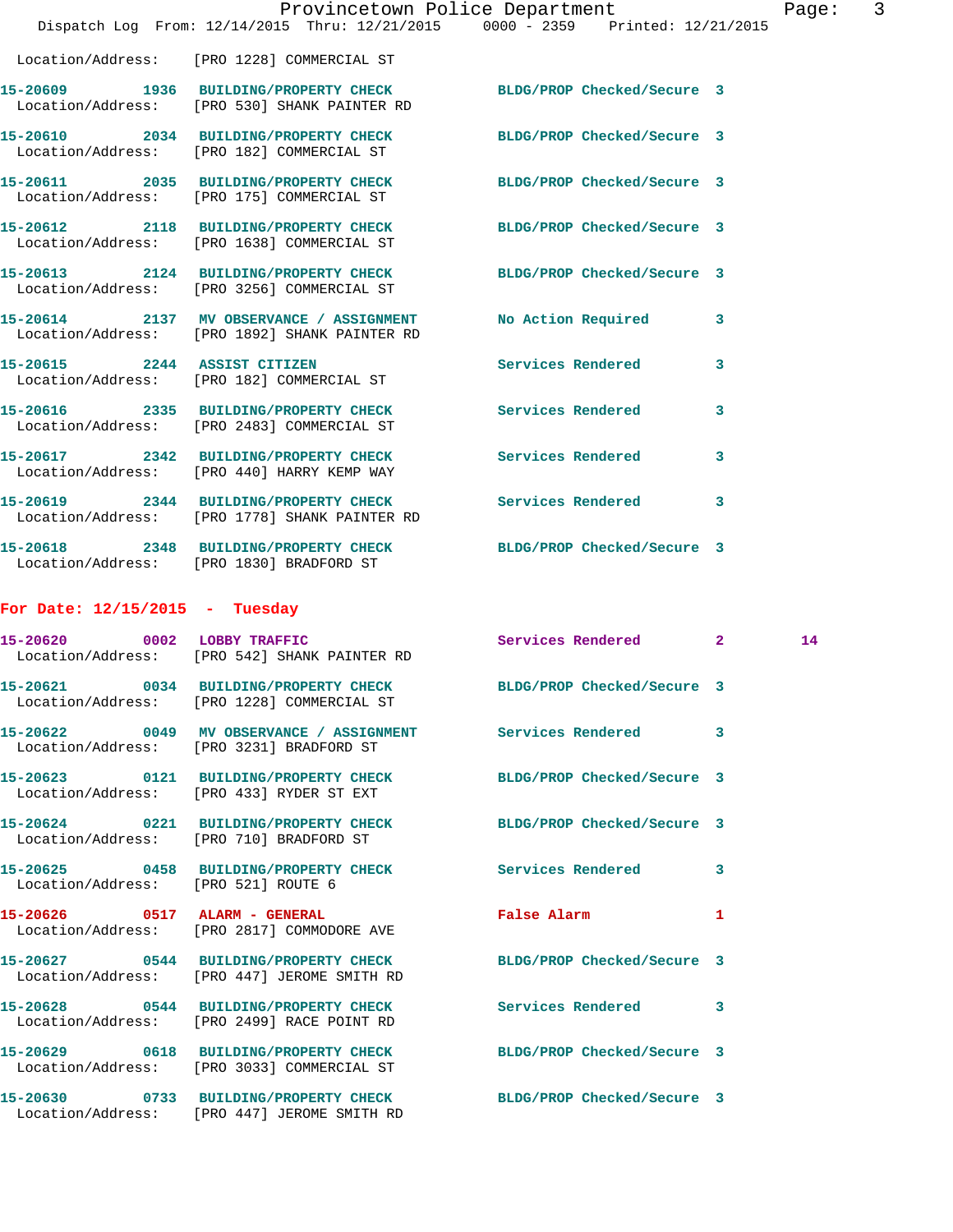|                                     | Provincetown Police Department<br>Dispatch Log From: 12/14/2015 Thru: 12/21/2015 0000 - 2359 Printed: 12/21/2015 |                               |   | Page: | 3 |
|-------------------------------------|------------------------------------------------------------------------------------------------------------------|-------------------------------|---|-------|---|
|                                     | Location/Address: [PRO 1228] COMMERCIAL ST                                                                       |                               |   |       |   |
|                                     | 15-20609 1936 BUILDING/PROPERTY CHECK BLDG/PROP Checked/Secure 3<br>Location/Address: [PRO 530] SHANK PAINTER RD |                               |   |       |   |
|                                     | 15-20610 2034 BUILDING/PROPERTY CHECK BLDG/PROP Checked/Secure 3<br>Location/Address: [PRO 182] COMMERCIAL ST    |                               |   |       |   |
|                                     | 15-20611 2035 BUILDING/PROPERTY CHECK<br>Location/Address: [PRO 175] COMMERCIAL ST                               | BLDG/PROP Checked/Secure 3    |   |       |   |
|                                     | 15-20612 2118 BUILDING/PROPERTY CHECK<br>Location/Address: [PRO 1638] COMMERCIAL ST                              | BLDG/PROP Checked/Secure 3    |   |       |   |
|                                     | 15-20613 2124 BUILDING/PROPERTY CHECK BLDG/PROP Checked/Secure 3<br>Location/Address: [PRO 3256] COMMERCIAL ST   |                               |   |       |   |
|                                     | 15-20614 2137 MV OBSERVANCE / ASSIGNMENT<br>Location/Address: [PRO 1892] SHANK PAINTER RD                        | No Action Required            | 3 |       |   |
| 15-20615 2244 ASSIST CITIZEN        | Location/Address: [PRO 182] COMMERCIAL ST                                                                        | Services Rendered             | 3 |       |   |
|                                     | 15-20616 2335 BUILDING/PROPERTY CHECK Services Rendered<br>Location/Address: [PRO 2483] COMMERCIAL ST            |                               | 3 |       |   |
|                                     | 15-20617 2342 BUILDING/PROPERTY CHECK<br>Location/Address: [PRO 440] HARRY KEMP WAY                              | Services Rendered             | 3 |       |   |
|                                     | 15-20619 2344 BUILDING/PROPERTY CHECK<br>Location/Address: [PRO 1778] SHANK PAINTER RD                           | Services Rendered             | 3 |       |   |
|                                     | 15-20618 2348 BUILDING/PROPERTY CHECK BLDG/PROP Checked/Secure 3<br>Location/Address: [PRO 1830] BRADFORD ST     |                               |   |       |   |
| For Date: $12/15/2015$ - Tuesday    |                                                                                                                  |                               |   |       |   |
| 15-20620 0002 LOBBY TRAFFIC         | Location/Address: [PRO 542] SHANK PAINTER RD                                                                     | Services Rendered 2           |   | 14    |   |
|                                     | 15-20621 0034 BUILDING/PROPERTY CHECK BLDG/PROP Checked/Secure 3<br>Location/Address: [PRO 1228] COMMERCIAL ST   |                               |   |       |   |
|                                     | 15-20622 0049 MV OBSERVANCE / ASSIGNMENT Services Rendered<br>Location/Address: [PRO 3231] BRADFORD ST           |                               | 3 |       |   |
|                                     | 15-20623 0121 BUILDING/PROPERTY CHECK<br>Location/Address: [PRO 433] RYDER ST EXT                                | BLDG/PROP Checked/Secure 3    |   |       |   |
|                                     | 15-20624 0221 BUILDING/PROPERTY CHECK<br>Location/Address: [PRO 710] BRADFORD ST                                 | BLDG/PROP Checked/Secure 3    |   |       |   |
| Location/Address: [PRO 521] ROUTE 6 | 15-20625 0458 BUILDING/PROPERTY CHECK Services Rendered                                                          |                               | 3 |       |   |
|                                     | 15-20626 0517 ALARM - GENERAL<br>Location/Address: [PRO 2817] COMMODORE AVE                                      | False Alarm <b>Example 20</b> | 1 |       |   |
|                                     | 15-20627 0544 BUILDING/PROPERTY CHECK<br>Location/Address: [PRO 447] JEROME SMITH RD                             | BLDG/PROP Checked/Secure 3    |   |       |   |
|                                     | 15-20628 0544 BUILDING/PROPERTY CHECK<br>Location/Address: [PRO 2499] RACE POINT RD                              | Services Rendered             | 3 |       |   |
|                                     | 15-20629 0618 BUILDING/PROPERTY CHECK<br>Location/Address: [PRO 3033] COMMERCIAL ST                              | BLDG/PROP Checked/Secure 3    |   |       |   |
|                                     | 15-20630 0733 BUILDING/PROPERTY CHECK<br>Location/Address: [PRO 447] JEROME SMITH RD                             | BLDG/PROP Checked/Secure 3    |   |       |   |
|                                     |                                                                                                                  |                               |   |       |   |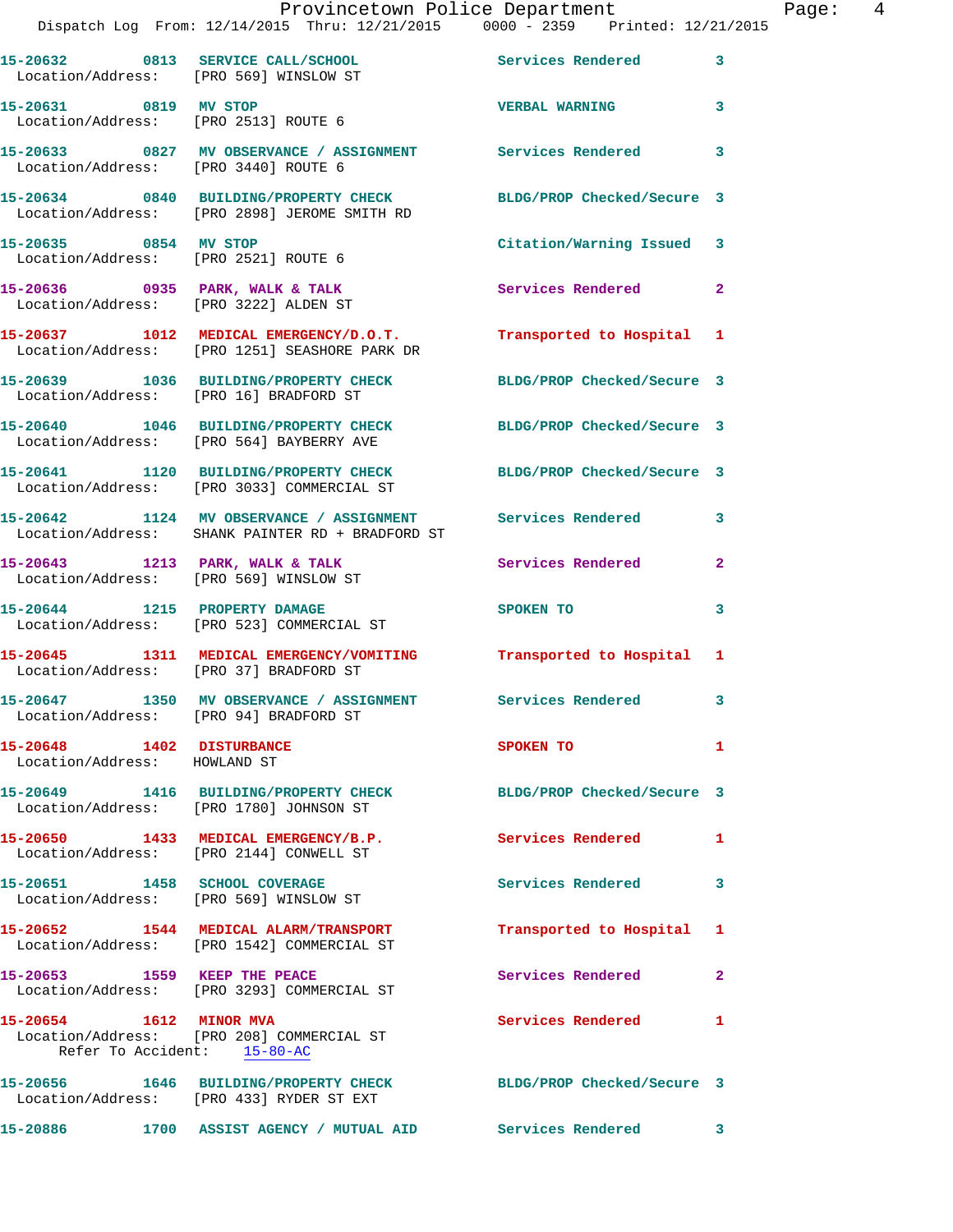|                                                           | Provincetown Police Department                                                        | Dispatch Log From: 12/14/2015 Thru: 12/21/2015 0000 - 2359 Printed: 12/21/2015 |                |
|-----------------------------------------------------------|---------------------------------------------------------------------------------------|--------------------------------------------------------------------------------|----------------|
|                                                           | 15-20632 0813 SERVICE CALL/SCHOOL<br>Location/Address: [PRO 569] WINSLOW ST           | Services Rendered                                                              | 3              |
| 15-20631 0819 MV STOP                                     | Location/Address: [PRO 2513] ROUTE 6                                                  | <b>VERBAL WARNING</b>                                                          | 3              |
|                                                           | Location/Address: [PRO 3440] ROUTE 6                                                  | 15-20633 0827 MV OBSERVANCE / ASSIGNMENT Services Rendered                     | 3              |
|                                                           | 15-20634 0840 BUILDING/PROPERTY CHECK<br>Location/Address: [PRO 2898] JEROME SMITH RD | BLDG/PROP Checked/Secure 3                                                     |                |
| 15-20635 0854 MV STOP                                     | Location/Address: [PRO 2521] ROUTE 6                                                  | Citation/Warning Issued                                                        | 3              |
|                                                           | 15-20636 0935 PARK, WALK & TALK<br>Location/Address: [PRO 3222] ALDEN ST              | Services Rendered                                                              | $\mathbf{2}$   |
|                                                           | Location/Address: [PRO 1251] SEASHORE PARK DR                                         | 15-20637 1012 MEDICAL EMERGENCY/D.O.T. Transported to Hospital                 | 1              |
|                                                           | 15-20639 1036 BUILDING/PROPERTY CHECK<br>Location/Address: [PRO 16] BRADFORD ST       | BLDG/PROP Checked/Secure 3                                                     |                |
|                                                           | Location/Address: [PRO 564] BAYBERRY AVE                                              | 15-20640 1046 BUILDING/PROPERTY CHECK BLDG/PROP Checked/Secure 3               |                |
|                                                           | 15-20641 1120 BUILDING/PROPERTY CHECK<br>Location/Address: [PRO 3033] COMMERCIAL ST   | BLDG/PROP Checked/Secure 3                                                     |                |
|                                                           | Location/Address: SHANK PAINTER RD + BRADFORD ST                                      | 15-20642 1124 MV OBSERVANCE / ASSIGNMENT Services Rendered                     | 3              |
|                                                           | 15-20643 1213 PARK, WALK & TALK<br>Location/Address: [PRO 569] WINSLOW ST             | Services Rendered                                                              | $\overline{a}$ |
|                                                           | 15-20644 1215 PROPERTY DAMAGE<br>Location/Address: [PRO 523] COMMERCIAL ST            | SPOKEN TO                                                                      | 3              |
|                                                           | Location/Address: [PRO 37] BRADFORD ST                                                | 15-20645 1311 MEDICAL EMERGENCY/VOMITING Transported to Hospital               | 1              |
|                                                           | 15-20647 1350 MV OBSERVANCE / ASSIGNMENT<br>Location/Address: [PRO 94] BRADFORD ST    | <b>Services Rendered</b>                                                       |                |
| 15-20648 1402 DISTURBANCE<br>Location/Address: HOWLAND ST |                                                                                       | <b>SPOKEN TO</b>                                                               | 1              |
|                                                           | Location/Address: [PRO 1780] JOHNSON ST                                               | 15-20649 1416 BUILDING/PROPERTY CHECK BLDG/PROP Checked/Secure 3               |                |
|                                                           | 15-20650 1433 MEDICAL EMERGENCY/B.P.<br>Location/Address: [PRO 2144] CONWELL ST       | <b>Services Rendered</b>                                                       | 1              |
|                                                           | 15-20651 1458 SCHOOL COVERAGE<br>Location/Address: [PRO 569] WINSLOW ST               | <b>Services Rendered</b>                                                       | 3              |
|                                                           | 15-20652 1544 MEDICAL ALARM/TRANSPORT<br>Location/Address: [PRO 1542] COMMERCIAL ST   | Transported to Hospital                                                        | 1              |
| 15-20653 1559 KEEP THE PEACE                              | Location/Address: [PRO 3293] COMMERCIAL ST                                            | Services Rendered                                                              | 2              |
| 15-20654 1612 MINOR MVA                                   | Location/Address: [PRO 208] COMMERCIAL ST<br>Refer To Accident: 15-80-AC              | Services Rendered                                                              | 1              |
|                                                           | 15-20656 1646 BUILDING/PROPERTY CHECK<br>Location/Address: [PRO 433] RYDER ST EXT     | BLDG/PROP Checked/Secure 3                                                     |                |
| 15-20886                                                  |                                                                                       | 1700 ASSIST AGENCY / MUTUAL AID Services Rendered                              | 3              |

Page:  $4$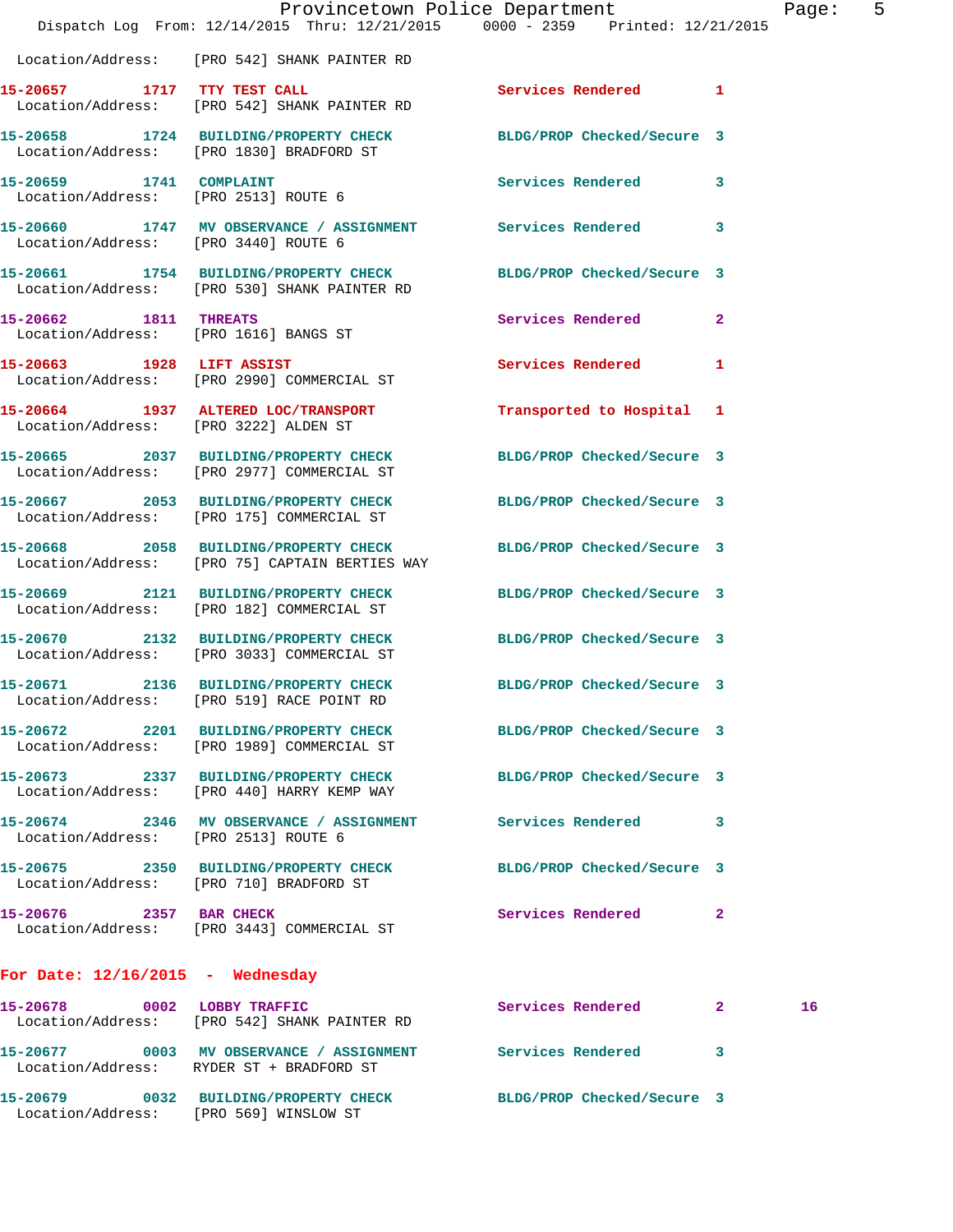|                                       | Dispatch Log From: 12/14/2015 Thru: 12/21/2015 0000 - 2359 Printed: 12/21/2015                                   | Provincetown Police Department |              | Page: | 5 |
|---------------------------------------|------------------------------------------------------------------------------------------------------------------|--------------------------------|--------------|-------|---|
|                                       | Location/Address: [PRO 542] SHANK PAINTER RD                                                                     |                                |              |       |   |
| 15-20657 1717 TTY TEST CALL           | Location/Address: [PRO 542] SHANK PAINTER RD                                                                     | Services Rendered 1            |              |       |   |
|                                       | 15-20658 1724 BUILDING/PROPERTY CHECK BLDG/PROP Checked/Secure 3<br>Location/Address: [PRO 1830] BRADFORD ST     |                                |              |       |   |
| 15-20659 1741 COMPLAINT               | Location/Address: [PRO 2513] ROUTE 6                                                                             | Services Rendered 3            |              |       |   |
| Location/Address: [PRO 3440] ROUTE 6  | 15-20660 1747 MV OBSERVANCE / ASSIGNMENT Services Rendered 3                                                     |                                |              |       |   |
|                                       | 15-20661 1754 BUILDING/PROPERTY CHECK BLDG/PROP Checked/Secure 3<br>Location/Address: [PRO 530] SHANK PAINTER RD |                                |              |       |   |
| 15-20662 1811 THREATS                 | Location/Address: [PRO 1616] BANGS ST                                                                            | Services Rendered              | $\mathbf{2}$ |       |   |
| 15-20663 1928 LIFT ASSIST             | Location/Address: [PRO 2990] COMMERCIAL ST                                                                       | Services Rendered              | $\mathbf{1}$ |       |   |
| Location/Address: [PRO 3222] ALDEN ST | 15-20664 1937 ALTERED LOC/TRANSPORT                                                                              | Transported to Hospital 1      |              |       |   |
|                                       | 15-20665 2037 BUILDING/PROPERTY CHECK<br>Location/Address: [PRO 2977] COMMERCIAL ST                              | BLDG/PROP Checked/Secure 3     |              |       |   |
|                                       | 15-20667 2053 BUILDING/PROPERTY CHECK BLDG/PROP Checked/Secure 3<br>Location/Address: [PRO 175] COMMERCIAL ST    |                                |              |       |   |
|                                       | 15-20668 2058 BUILDING/PROPERTY CHECK<br>Location/Address: [PRO 75] CAPTAIN BERTIES WAY                          | BLDG/PROP Checked/Secure 3     |              |       |   |
|                                       | 15-20669 2121 BUILDING/PROPERTY CHECK BLDG/PROP Checked/Secure 3<br>Location/Address: [PRO 182] COMMERCIAL ST    |                                |              |       |   |
|                                       | 15-20670 2132 BUILDING/PROPERTY CHECK<br>Location/Address: [PRO 3033] COMMERCIAL ST                              | BLDG/PROP Checked/Secure 3     |              |       |   |
|                                       | 15-20671 2136 BUILDING/PROPERTY CHECK<br>Location/Address: [PRO 519] RACE POINT RD                               | BLDG/PROP Checked/Secure 3     |              |       |   |
|                                       | 15-20672 2201 BUILDING/PROPERTY CHECK BLDG/PROP Checked/Secure 3<br>Location/Address: [PRO 1989] COMMERCIAL ST   |                                |              |       |   |
|                                       | 15-20673 2337 BUILDING/PROPERTY CHECK<br>Location/Address: [PRO 440] HARRY KEMP WAY                              | BLDG/PROP Checked/Secure 3     |              |       |   |
| Location/Address: [PRO 2513] ROUTE 6  | 15-20674 2346 MV OBSERVANCE / ASSIGNMENT                                                                         | <b>Services Rendered</b>       | 3            |       |   |
|                                       | 15-20675 2350 BUILDING/PROPERTY CHECK<br>Location/Address: [PRO 710] BRADFORD ST                                 | BLDG/PROP Checked/Secure 3     |              |       |   |
|                                       | 15-20676 2357 BAR CHECK<br>Location/Address: [PRO 3443] COMMERCIAL ST                                            | Services Rendered              | 2            |       |   |
| For Date: $12/16/2015$ - Wednesday    |                                                                                                                  |                                |              |       |   |
|                                       | 15-20678 0002 LOBBY TRAFFIC<br>Location/Address: [PRO 542] SHANK PAINTER RD                                      | Services Rendered 2            |              | 16    |   |
|                                       | 15-20677 0003 MV OBSERVANCE / ASSIGNMENT Services Rendered 3<br>Location/Address: RYDER ST + BRADFORD ST         |                                |              |       |   |
|                                       |                                                                                                                  |                                |              |       |   |

**15-20679 0032 BUILDING/PROPERTY CHECK BLDG/PROP Checked/Secure 3**  Location/Address: [PRO 569] WINSLOW ST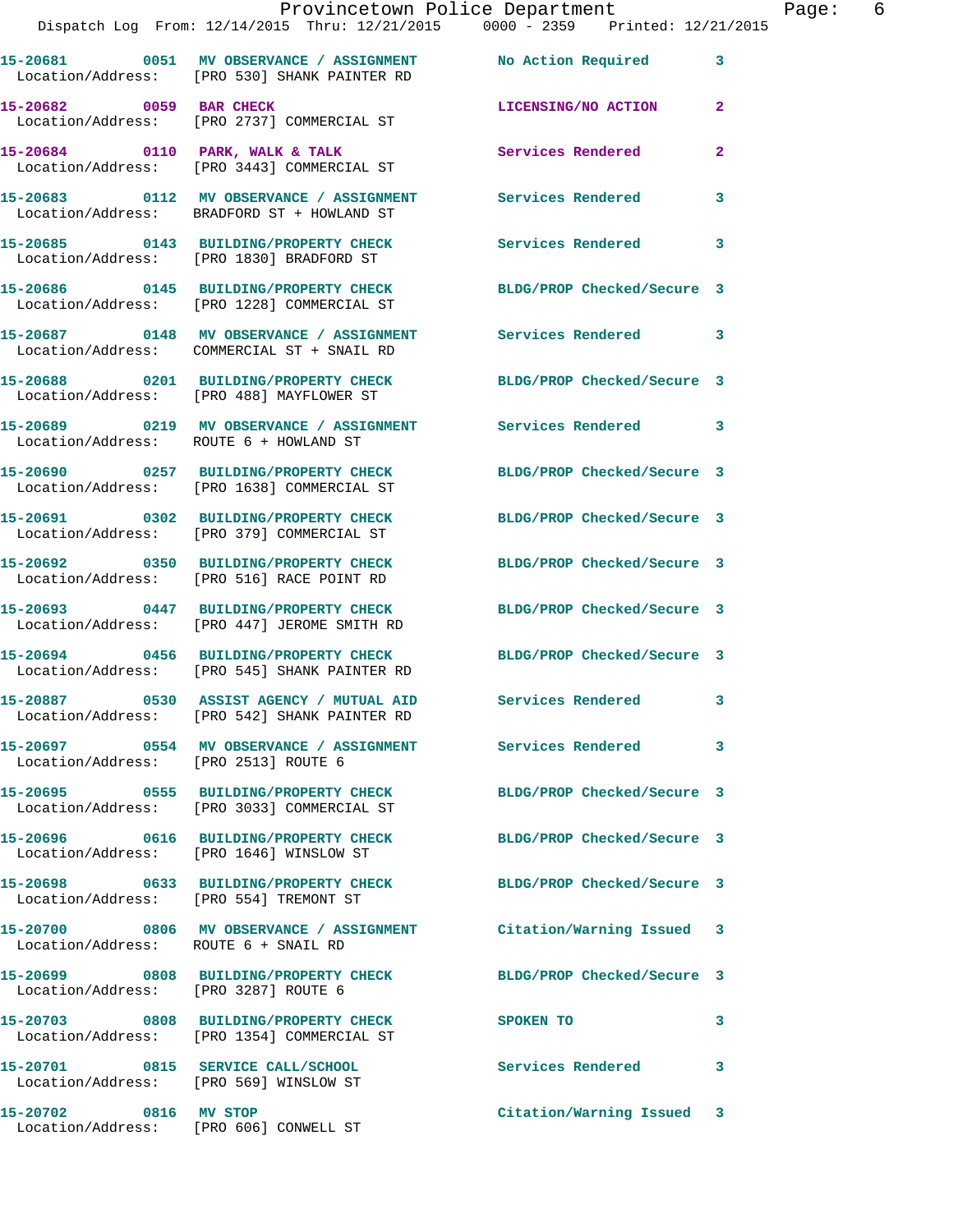|                                        | Dispatch Log From: 12/14/2015 Thru: 12/21/2015 0000 - 2359 Printed: 12/21/2015                                   | Provincetown Police Department | Page: 6      |
|----------------------------------------|------------------------------------------------------------------------------------------------------------------|--------------------------------|--------------|
|                                        | 15-20681 0051 MV OBSERVANCE / ASSIGNMENT No Action Required 3<br>Location/Address: [PRO 530] SHANK PAINTER RD    |                                |              |
| 15-20682 0059 BAR CHECK                | Location/Address: [PRO 2737] COMMERCIAL ST                                                                       | LICENSING/NO ACTION            | $\mathbf{2}$ |
|                                        | 15-20684 0110 PARK, WALK & TALK<br>Location/Address: [PRO 3443] COMMERCIAL ST                                    | Services Rendered              | $\mathbf{2}$ |
|                                        | 15-20683 0112 MV OBSERVANCE / ASSIGNMENT Services Rendered<br>Location/Address: BRADFORD ST + HOWLAND ST         |                                | $\mathbf{3}$ |
|                                        | 15-20685 0143 BUILDING/PROPERTY CHECK<br>Location/Address: [PRO 1830] BRADFORD ST                                | Services Rendered              | 3            |
|                                        | 15-20686 0145 BUILDING/PROPERTY CHECK BLDG/PROP Checked/Secure 3<br>Location/Address: [PRO 1228] COMMERCIAL ST   |                                |              |
|                                        | 15-20687 0148 MV OBSERVANCE / ASSIGNMENT Services Rendered 3<br>Location/Address: COMMERCIAL ST + SNAIL RD       |                                |              |
|                                        | 15-20688 0201 BUILDING/PROPERTY CHECK BLDG/PROP Checked/Secure 3<br>Location/Address: [PRO 488] MAYFLOWER ST     |                                |              |
| Location/Address: ROUTE 6 + HOWLAND ST | 15-20689 0219 MV OBSERVANCE / ASSIGNMENT Services Rendered 3                                                     |                                |              |
|                                        | 15-20690 0257 BUILDING/PROPERTY CHECK<br>Location/Address: [PRO 1638] COMMERCIAL ST                              | BLDG/PROP Checked/Secure 3     |              |
|                                        | 15-20691 0302 BUILDING/PROPERTY CHECK BLDG/PROP Checked/Secure 3<br>Location/Address: [PRO 379] COMMERCIAL ST    |                                |              |
|                                        | 15-20692 0350 BUILDING/PROPERTY CHECK BLDG/PROP Checked/Secure 3<br>Location/Address: [PRO 516] RACE POINT RD    |                                |              |
|                                        | 15-20693 0447 BUILDING/PROPERTY CHECK BLDG/PROP Checked/Secure 3<br>Location/Address: [PRO 447] JEROME SMITH RD  |                                |              |
|                                        | 15-20694 0456 BUILDING/PROPERTY CHECK BLDG/PROP Checked/Secure 3<br>Location/Address: [PRO 545] SHANK PAINTER RD |                                |              |
|                                        | 15-20887 0530 ASSIST AGENCY / MUTUAL AID<br>Location/Address: [PRO 542] SHANK PAINTER RD                         | <b>Services Rendered</b>       |              |
| Location/Address: [PRO 2513] ROUTE 6   | 15-20697 0554 MV OBSERVANCE / ASSIGNMENT Services Rendered                                                       |                                | 3            |
|                                        | 15-20695 0555 BUILDING/PROPERTY CHECK BLDG/PROP Checked/Secure 3<br>Location/Address: [PRO 3033] COMMERCIAL ST   |                                |              |
|                                        | 15-20696 0616 BUILDING/PROPERTY CHECK BLDG/PROP Checked/Secure 3<br>Location/Address: [PRO 1646] WINSLOW ST      |                                |              |
|                                        | 15-20698 0633 BUILDING/PROPERTY CHECK BLDG/PROP Checked/Secure 3<br>Location/Address: [PRO 554] TREMONT ST       |                                |              |
| Location/Address: ROUTE 6 + SNAIL RD   | 15-20700 0806 MV OBSERVANCE / ASSIGNMENT Citation/Warning Issued 3                                               |                                |              |
| Location/Address: [PRO 3287] ROUTE 6   | 15-20699 0808 BUILDING/PROPERTY CHECK BLDG/PROP Checked/Secure 3                                                 |                                |              |
|                                        | 15-20703 0808 BUILDING/PROPERTY CHECK<br>Location/Address: [PRO 1354] COMMERCIAL ST                              | SPOKEN TO                      | 3            |
|                                        | 15-20701 0815 SERVICE CALL/SCHOOL<br>Location/Address: [PRO 569] WINSLOW ST                                      | Services Rendered              | 3            |
| 15-20702 0816 MV STOP                  |                                                                                                                  | Citation/Warning Issued 3      |              |

Location/Address: [PRO 606] CONWELL ST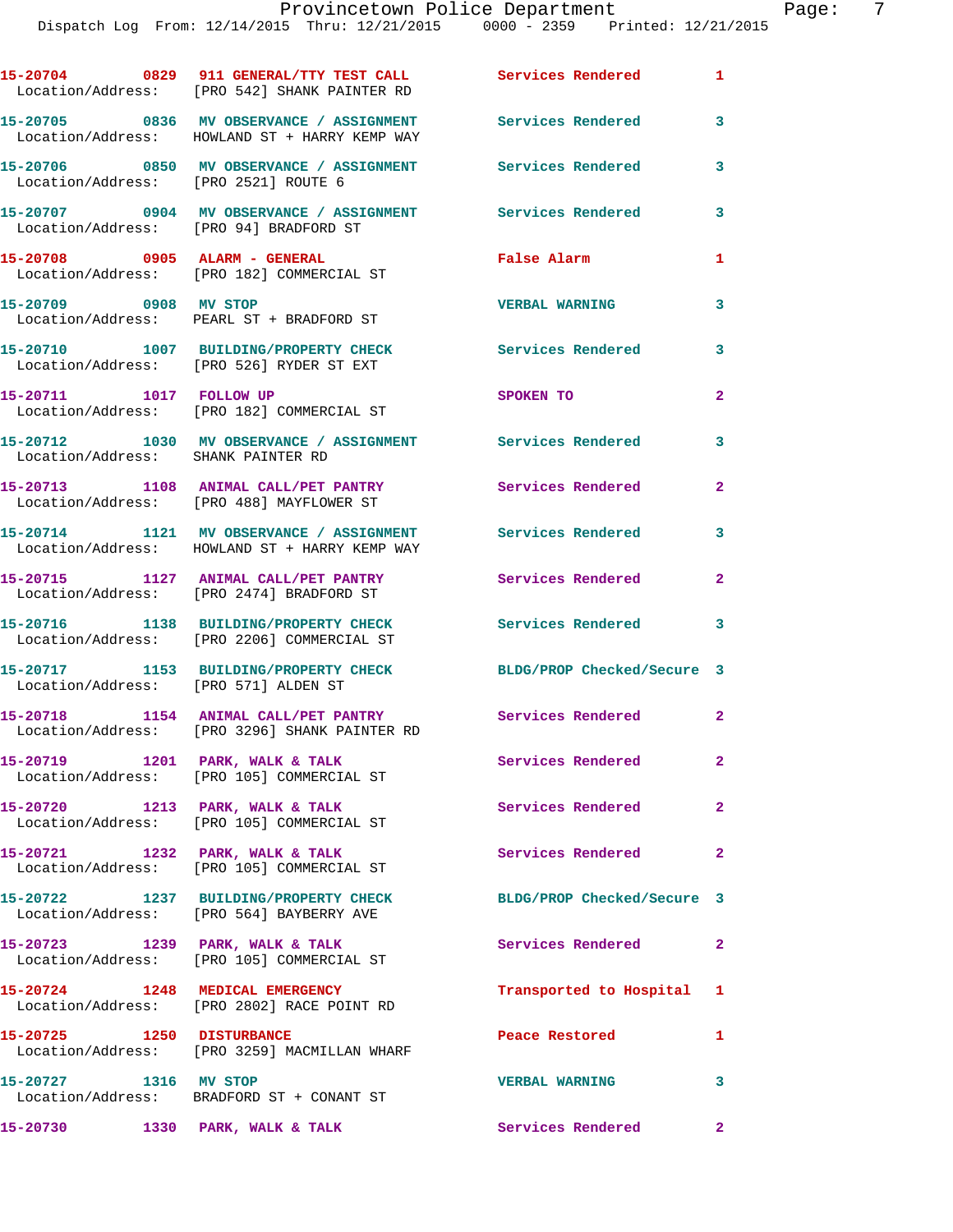|                                        | 15-20704 0829 911 GENERAL/TTY TEST CALL Services Rendered<br>Location/Address: [PRO 542] SHANK PAINTER RD   |                            | 1                       |
|----------------------------------------|-------------------------------------------------------------------------------------------------------------|----------------------------|-------------------------|
|                                        | 15-20705 0836 MV OBSERVANCE / ASSIGNMENT Services Rendered<br>Location/Address: HOWLAND ST + HARRY KEMP WAY |                            | 3                       |
|                                        | 15-20706 0850 MV OBSERVANCE / ASSIGNMENT Services Rendered<br>Location/Address: [PRO 2521] ROUTE 6          |                            | 3                       |
| Location/Address: [PRO 94] BRADFORD ST | 15-20707 0904 MV OBSERVANCE / ASSIGNMENT Services Rendered                                                  |                            | 3                       |
|                                        | 15-20708 0905 ALARM - GENERAL<br>Location/Address: [PRO 182] COMMERCIAL ST                                  | False Alarm                | 1                       |
| 15-20709 0908 MV STOP                  | Location/Address: PEARL ST + BRADFORD ST                                                                    | <b>VERBAL WARNING</b>      | 3                       |
|                                        | 15-20710 1007 BUILDING/PROPERTY CHECK<br>Location/Address: [PRO 526] RYDER ST EXT                           | <b>Services Rendered</b>   | 3                       |
| 15-20711 1017 FOLLOW UP                | Location/Address: [PRO 182] COMMERCIAL ST                                                                   | SPOKEN TO                  | $\mathbf{2}$            |
| Location/Address: SHANK PAINTER RD     | 15-20712 1030 MV OBSERVANCE / ASSIGNMENT Services Rendered                                                  |                            | 3                       |
|                                        | 15-20713 1108 ANIMAL CALL/PET PANTRY Services Rendered<br>Location/Address: [PRO 488] MAYFLOWER ST          |                            | $\mathbf{2}$            |
|                                        | 15-20714 1121 MV OBSERVANCE / ASSIGNMENT Services Rendered<br>Location/Address: HOWLAND ST + HARRY KEMP WAY |                            | $\mathbf{3}$            |
|                                        | 15-20715 1127 ANIMAL CALL/PET PANTRY Services Rendered<br>Location/Address: [PRO 2474] BRADFORD ST          |                            | $\mathbf{2}$            |
|                                        | 15-20716 1138 BUILDING/PROPERTY CHECK<br>Location/Address: [PRO 2206] COMMERCIAL ST                         | <b>Services Rendered</b> 3 |                         |
| Location/Address: [PRO 571] ALDEN ST   | 15-20717 1153 BUILDING/PROPERTY CHECK                                                                       | BLDG/PROP Checked/Secure 3 |                         |
|                                        | 15-20718 1154 ANIMAL CALL/PET PANTRY<br>Location/Address: [PRO 3296] SHANK PAINTER RD                       | Services Rendered 2        |                         |
|                                        | 15-20719 1201 PARK, WALK & TALK<br>Location/Address: [PRO 105] COMMERCIAL ST                                | <b>Services Rendered</b>   | $\mathbf{2}$            |
| 15-20720 1213 PARK, WALK & TALK        | Location/Address: [PRO 105] COMMERCIAL ST                                                                   | Services Rendered          | $\overline{\mathbf{2}}$ |
|                                        | 15-20721 1232 PARK, WALK & TALK<br>Location/Address: [PRO 105] COMMERCIAL ST                                | Services Rendered          | $\mathbf{2}$            |
|                                        | 15-20722 1237 BUILDING/PROPERTY CHECK<br>Location/Address: [PRO 564] BAYBERRY AVE                           | BLDG/PROP Checked/Secure 3 |                         |
|                                        | 15-20723 1239 PARK, WALK & TALK<br>Location/Address: [PRO 105] COMMERCIAL ST                                | Services Rendered          | $\overline{\mathbf{2}}$ |
|                                        | 15-20724 1248 MEDICAL EMERGENCY<br>Location/Address: [PRO 2802] RACE POINT RD                               | Transported to Hospital 1  |                         |
| 15-20725 1250 DISTURBANCE              | Location/Address: [PRO 3259] MACMILLAN WHARF                                                                | Peace Restored             | 1                       |
| 15-20727 1316 MV STOP                  | Location/Address: BRADFORD ST + CONANT ST                                                                   | <b>VERBAL WARNING</b>      | $\mathbf{3}$            |
| 15-20730                               | 1330 PARK, WALK & TALK                                                                                      | Services Rendered          | $\mathbf{2}$            |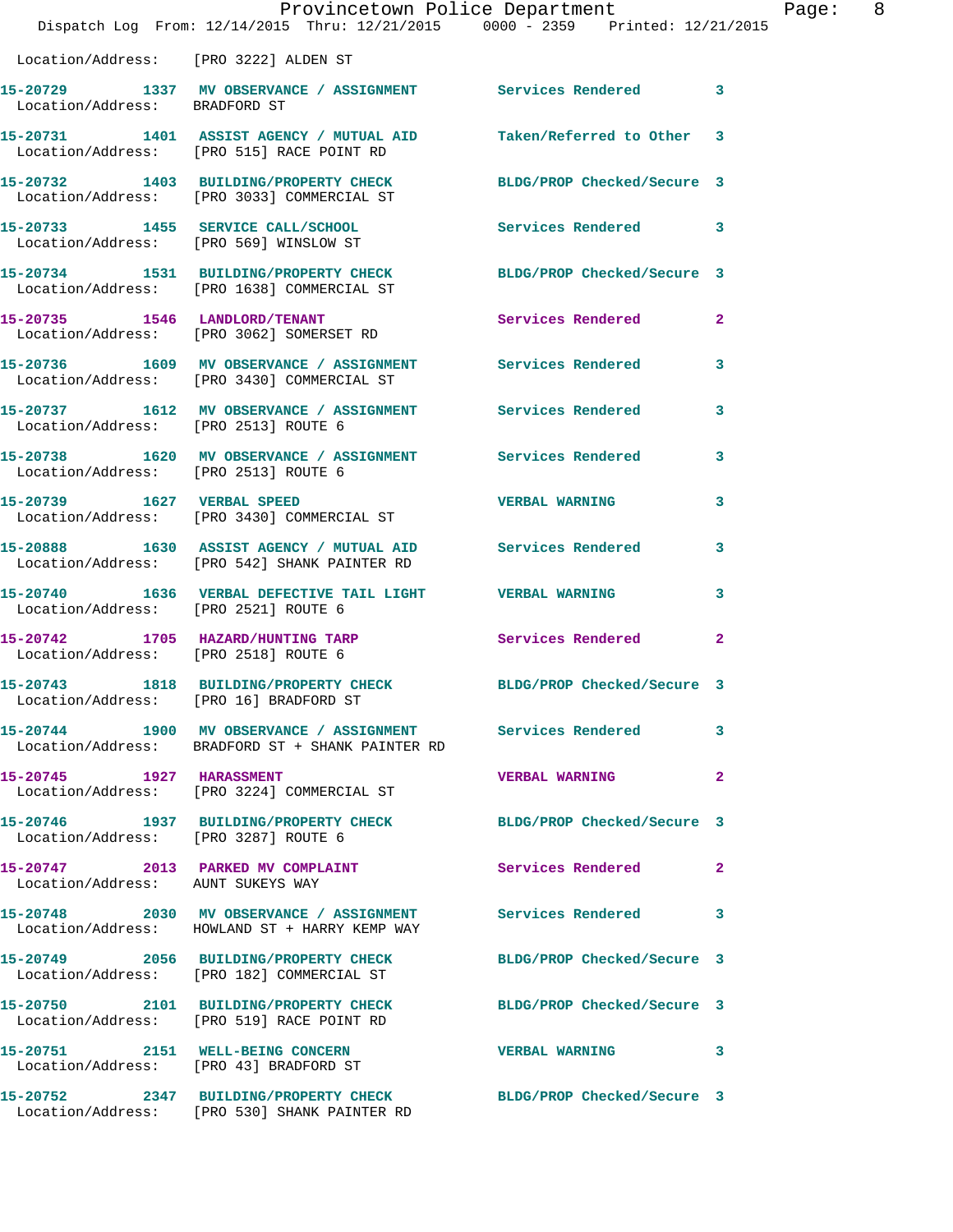|                                      | Provincetown Police Department<br>Dispatch Log From: 12/14/2015 Thru: 12/21/2015 0000 - 2359 Printed: 12/21/2015 |                            | Page: 8      |
|--------------------------------------|------------------------------------------------------------------------------------------------------------------|----------------------------|--------------|
|                                      | Location/Address: [PRO 3222] ALDEN ST                                                                            |                            |              |
| Location/Address: BRADFORD ST        | 15-20729 1337 MV OBSERVANCE / ASSIGNMENT Services Rendered 3                                                     |                            |              |
|                                      | 15-20731 1401 ASSIST AGENCY / MUTUAL AID Taken/Referred to Other 3<br>Location/Address: [PRO 515] RACE POINT RD  |                            |              |
|                                      | 15-20732 1403 BUILDING/PROPERTY CHECK BLDG/PROP Checked/Secure 3<br>Location/Address: [PRO 3033] COMMERCIAL ST   |                            |              |
|                                      | 15-20733 1455 SERVICE CALL/SCHOOL Services Rendered 3<br>Location/Address: [PRO 569] WINSLOW ST                  |                            |              |
|                                      | 15-20734 1531 BUILDING/PROPERTY CHECK BLDG/PROP Checked/Secure 3<br>Location/Address: [PRO 1638] COMMERCIAL ST   |                            |              |
|                                      | 15-20735 1546 LANDLORD/TENANT<br>Location/Address: [PRO 3062] SOMERSET RD                                        | Services Rendered          | $\mathbf{2}$ |
|                                      | 15-20736 1609 MV OBSERVANCE / ASSIGNMENT Services Rendered 3<br>Location/Address: [PRO 3430] COMMERCIAL ST       |                            |              |
| Location/Address: [PRO 2513] ROUTE 6 | 15-20737 1612 MV OBSERVANCE / ASSIGNMENT Services Rendered                                                       |                            | 3            |
| Location/Address: [PRO 2513] ROUTE 6 | 15-20738 1620 MV OBSERVANCE / ASSIGNMENT Services Rendered 3                                                     |                            |              |
|                                      | 15-20739 1627 VERBAL SPEED<br>Location/Address: [PRO 3430] COMMERCIAL ST                                         | <b>VERBAL WARNING</b>      | 3            |
|                                      | 15-20888 1630 ASSIST AGENCY / MUTUAL AID Services Rendered 3<br>Location/Address: [PRO 542] SHANK PAINTER RD     |                            |              |
| Location/Address: [PRO 2521] ROUTE 6 | 15-20740 1636 VERBAL DEFECTIVE TAIL LIGHT WERBAL WARNING                                                         |                            | 3            |
| Location/Address: [PRO 2518] ROUTE 6 | 15-20742 1705 HAZARD/HUNTING TARP Services Rendered                                                              |                            | $\mathbf{2}$ |
|                                      | 15-20743 1818 BUILDING/PROPERTY CHECK BLDG/PROP Checked/Secure 3<br>Location/Address: [PRO 16] BRADFORD ST       |                            |              |
|                                      | 15-20744 1900 MV OBSERVANCE / ASSIGNMENT Services Rendered<br>Location/Address: BRADFORD ST + SHANK PAINTER RD   |                            | 3            |
|                                      | 15-20745    1927    HARASSMENT<br>Location/Address: [PRO 3224] COMMERCIAL ST                                     | <b>VERBAL WARNING</b>      | $\mathbf{2}$ |
| Location/Address: [PRO 3287] ROUTE 6 | 15-20746 1937 BUILDING/PROPERTY CHECK BLDG/PROP Checked/Secure 3                                                 |                            |              |
| Location/Address: AUNT SUKEYS WAY    | 15-20747 2013 PARKED MV COMPLAINT                                                                                | Services Rendered          | -2           |
|                                      | 15-20748 2030 MV OBSERVANCE / ASSIGNMENT Services Rendered 3<br>Location/Address: HOWLAND ST + HARRY KEMP WAY    |                            |              |
|                                      | 15-20749 2056 BUILDING/PROPERTY CHECK<br>Location/Address: [PRO 182] COMMERCIAL ST                               | BLDG/PROP Checked/Secure 3 |              |
|                                      | 15-20750 2101 BUILDING/PROPERTY CHECK BLDG/PROP Checked/Secure 3<br>Location/Address: [PRO 519] RACE POINT RD    |                            |              |
|                                      | 15-20751 2151 WELL-BEING CONCERN<br>Location/Address: [PRO 43] BRADFORD ST                                       | <b>VERBAL WARNING</b>      | 3            |
|                                      | 15-20752 2347 BUILDING/PROPERTY CHECK BLDG/PROP Checked/Secure 3<br>Location/Address: [PRO 530] SHANK PAINTER RD |                            |              |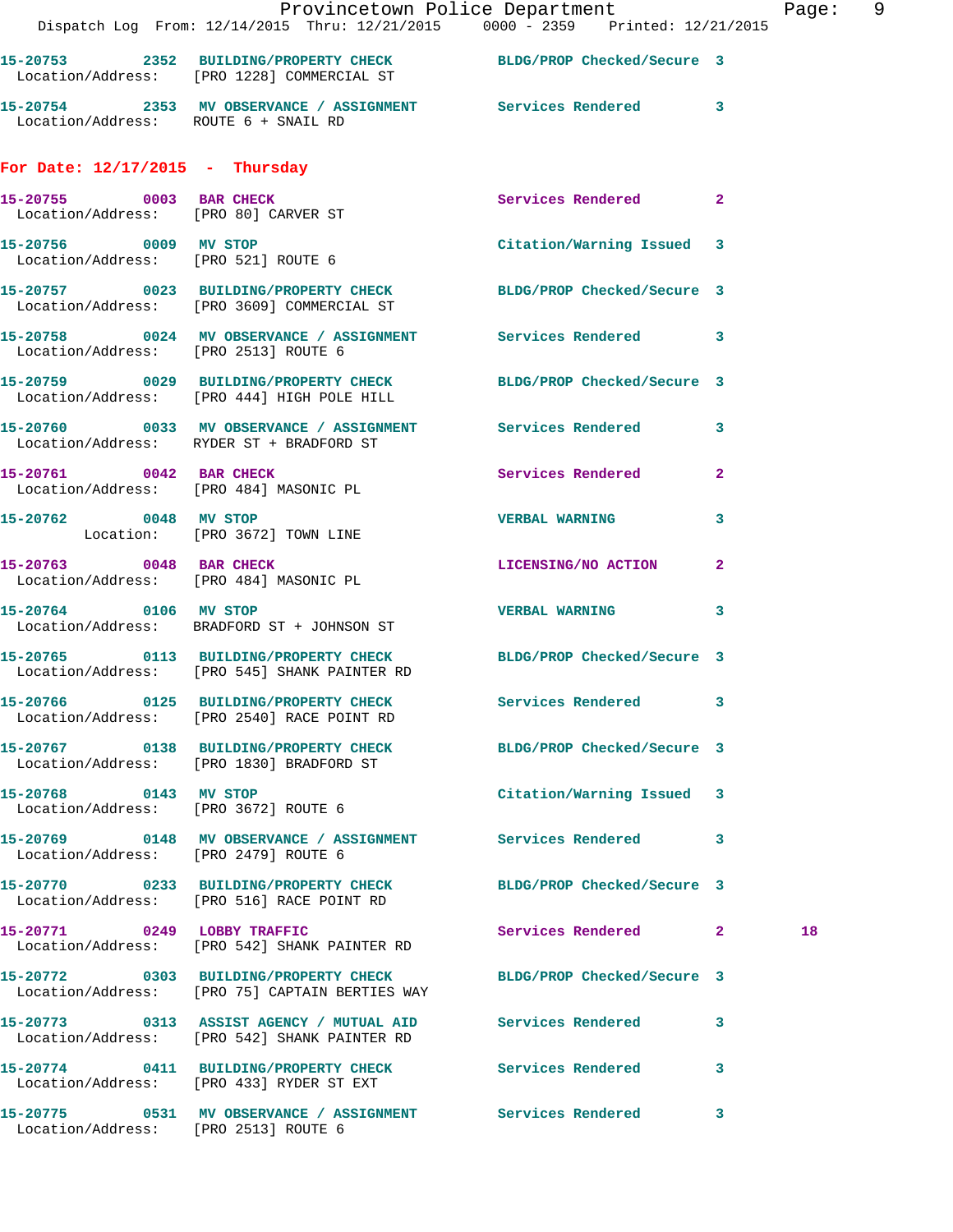|                                                                                     |                                                                                                                                                                                                                                                                                                                                                                                                     | Page: 9                                                                                                                                                                                                                                                                                                                                                                                                                                                                                                                                                                                                                                                                                                                                                                                                                                                                                                                                                                                                                                                                                                                                                                                                          |
|-------------------------------------------------------------------------------------|-----------------------------------------------------------------------------------------------------------------------------------------------------------------------------------------------------------------------------------------------------------------------------------------------------------------------------------------------------------------------------------------------------|------------------------------------------------------------------------------------------------------------------------------------------------------------------------------------------------------------------------------------------------------------------------------------------------------------------------------------------------------------------------------------------------------------------------------------------------------------------------------------------------------------------------------------------------------------------------------------------------------------------------------------------------------------------------------------------------------------------------------------------------------------------------------------------------------------------------------------------------------------------------------------------------------------------------------------------------------------------------------------------------------------------------------------------------------------------------------------------------------------------------------------------------------------------------------------------------------------------|
| Location/Address: [PRO 1228] COMMERCIAL ST                                          |                                                                                                                                                                                                                                                                                                                                                                                                     |                                                                                                                                                                                                                                                                                                                                                                                                                                                                                                                                                                                                                                                                                                                                                                                                                                                                                                                                                                                                                                                                                                                                                                                                                  |
|                                                                                     |                                                                                                                                                                                                                                                                                                                                                                                                     |                                                                                                                                                                                                                                                                                                                                                                                                                                                                                                                                                                                                                                                                                                                                                                                                                                                                                                                                                                                                                                                                                                                                                                                                                  |
| For Date: $12/17/2015$ - Thursday                                                   |                                                                                                                                                                                                                                                                                                                                                                                                     |                                                                                                                                                                                                                                                                                                                                                                                                                                                                                                                                                                                                                                                                                                                                                                                                                                                                                                                                                                                                                                                                                                                                                                                                                  |
| 15-20755 0003 BAR CHECK<br>Location/Address: [PRO 80] CARVER ST                     | Services Rendered 2                                                                                                                                                                                                                                                                                                                                                                                 |                                                                                                                                                                                                                                                                                                                                                                                                                                                                                                                                                                                                                                                                                                                                                                                                                                                                                                                                                                                                                                                                                                                                                                                                                  |
| 15-20756 0009 MV STOP<br>Location/Address: [PRO 521] ROUTE 6                        | Citation/Warning Issued 3                                                                                                                                                                                                                                                                                                                                                                           |                                                                                                                                                                                                                                                                                                                                                                                                                                                                                                                                                                                                                                                                                                                                                                                                                                                                                                                                                                                                                                                                                                                                                                                                                  |
|                                                                                     |                                                                                                                                                                                                                                                                                                                                                                                                     |                                                                                                                                                                                                                                                                                                                                                                                                                                                                                                                                                                                                                                                                                                                                                                                                                                                                                                                                                                                                                                                                                                                                                                                                                  |
| Location/Address: [PRO 2513] ROUTE 6                                                |                                                                                                                                                                                                                                                                                                                                                                                                     |                                                                                                                                                                                                                                                                                                                                                                                                                                                                                                                                                                                                                                                                                                                                                                                                                                                                                                                                                                                                                                                                                                                                                                                                                  |
| Location/Address: [PRO 444] HIGH POLE HILL                                          |                                                                                                                                                                                                                                                                                                                                                                                                     |                                                                                                                                                                                                                                                                                                                                                                                                                                                                                                                                                                                                                                                                                                                                                                                                                                                                                                                                                                                                                                                                                                                                                                                                                  |
|                                                                                     |                                                                                                                                                                                                                                                                                                                                                                                                     |                                                                                                                                                                                                                                                                                                                                                                                                                                                                                                                                                                                                                                                                                                                                                                                                                                                                                                                                                                                                                                                                                                                                                                                                                  |
| 15-20761 0042 BAR CHECK                                                             |                                                                                                                                                                                                                                                                                                                                                                                                     |                                                                                                                                                                                                                                                                                                                                                                                                                                                                                                                                                                                                                                                                                                                                                                                                                                                                                                                                                                                                                                                                                                                                                                                                                  |
| 15-20762 0048 MV STOP                                                               | 3                                                                                                                                                                                                                                                                                                                                                                                                   |                                                                                                                                                                                                                                                                                                                                                                                                                                                                                                                                                                                                                                                                                                                                                                                                                                                                                                                                                                                                                                                                                                                                                                                                                  |
| 15-20763 0048 BAR CHECK<br>Location/Address: [PRO 484] MASONIC PL                   |                                                                                                                                                                                                                                                                                                                                                                                                     |                                                                                                                                                                                                                                                                                                                                                                                                                                                                                                                                                                                                                                                                                                                                                                                                                                                                                                                                                                                                                                                                                                                                                                                                                  |
| 15-20764 0106 MV STOP                                                               | <b>VERBAL WARNING</b><br>$\mathbf{3}$                                                                                                                                                                                                                                                                                                                                                               |                                                                                                                                                                                                                                                                                                                                                                                                                                                                                                                                                                                                                                                                                                                                                                                                                                                                                                                                                                                                                                                                                                                                                                                                                  |
| Location/Address: [PRO 545] SHANK PAINTER RD                                        |                                                                                                                                                                                                                                                                                                                                                                                                     |                                                                                                                                                                                                                                                                                                                                                                                                                                                                                                                                                                                                                                                                                                                                                                                                                                                                                                                                                                                                                                                                                                                                                                                                                  |
| 15-20766 0125 BUILDING/PROPERTY CHECK<br>Location/Address: [PRO 2540] RACE POINT RD | Services Rendered 3                                                                                                                                                                                                                                                                                                                                                                                 |                                                                                                                                                                                                                                                                                                                                                                                                                                                                                                                                                                                                                                                                                                                                                                                                                                                                                                                                                                                                                                                                                                                                                                                                                  |
| Location/Address: [PRO 1830] BRADFORD ST                                            | BLDG/PROP Checked/Secure 3                                                                                                                                                                                                                                                                                                                                                                          |                                                                                                                                                                                                                                                                                                                                                                                                                                                                                                                                                                                                                                                                                                                                                                                                                                                                                                                                                                                                                                                                                                                                                                                                                  |
| 15-20768 0143 MV STOP<br>Location/Address: [PRO 3672] ROUTE 6                       | Citation/Warning Issued 3                                                                                                                                                                                                                                                                                                                                                                           |                                                                                                                                                                                                                                                                                                                                                                                                                                                                                                                                                                                                                                                                                                                                                                                                                                                                                                                                                                                                                                                                                                                                                                                                                  |
|                                                                                     |                                                                                                                                                                                                                                                                                                                                                                                                     |                                                                                                                                                                                                                                                                                                                                                                                                                                                                                                                                                                                                                                                                                                                                                                                                                                                                                                                                                                                                                                                                                                                                                                                                                  |
|                                                                                     |                                                                                                                                                                                                                                                                                                                                                                                                     |                                                                                                                                                                                                                                                                                                                                                                                                                                                                                                                                                                                                                                                                                                                                                                                                                                                                                                                                                                                                                                                                                                                                                                                                                  |
| 15-20771 0249 LOBBY TRAFFIC                                                         | Services Rendered 2                                                                                                                                                                                                                                                                                                                                                                                 | 18                                                                                                                                                                                                                                                                                                                                                                                                                                                                                                                                                                                                                                                                                                                                                                                                                                                                                                                                                                                                                                                                                                                                                                                                               |
|                                                                                     | BLDG/PROP Checked/Secure 3                                                                                                                                                                                                                                                                                                                                                                          |                                                                                                                                                                                                                                                                                                                                                                                                                                                                                                                                                                                                                                                                                                                                                                                                                                                                                                                                                                                                                                                                                                                                                                                                                  |
|                                                                                     |                                                                                                                                                                                                                                                                                                                                                                                                     |                                                                                                                                                                                                                                                                                                                                                                                                                                                                                                                                                                                                                                                                                                                                                                                                                                                                                                                                                                                                                                                                                                                                                                                                                  |
|                                                                                     | <b>Services Rendered</b><br>3                                                                                                                                                                                                                                                                                                                                                                       |                                                                                                                                                                                                                                                                                                                                                                                                                                                                                                                                                                                                                                                                                                                                                                                                                                                                                                                                                                                                                                                                                                                                                                                                                  |
| Location/Address: [PRO 2513] ROUTE 6                                                |                                                                                                                                                                                                                                                                                                                                                                                                     |                                                                                                                                                                                                                                                                                                                                                                                                                                                                                                                                                                                                                                                                                                                                                                                                                                                                                                                                                                                                                                                                                                                                                                                                                  |
|                                                                                     | Location/Address: RYDER ST + BRADFORD ST<br>Location/Address: [PRO 484] MASONIC PL<br>Location: [PRO 3672] TOWN LINE<br>Location/Address: BRADFORD ST + JOHNSON ST<br>Location/Address: [PRO 2479] ROUTE 6<br>Location/Address: [PRO 516] RACE POINT RD<br>Location/Address: [PRO 542] SHANK PAINTER RD<br>Location/Address: [PRO 542] SHANK PAINTER RD<br>Location/Address: [PRO 433] RYDER ST EXT | Provincetown Police Department<br>Dispatch Log From: 12/14/2015 Thru: 12/21/2015 0000 - 2359 Printed: 12/21/2015<br>15-20753 2352 BUILDING/PROPERTY CHECK BLDG/PROP Checked/Secure 3<br>15-20754 2353 MV OBSERVANCE / ASSIGNMENT Services Rendered 3<br>Location/Address: ROUTE 6 + SNAIL RD<br>15-20757 0023 BUILDING/PROPERTY CHECK BLDG/PROP Checked/Secure 3<br>Location/Address: [PRO 3609] COMMERCIAL ST<br>15-20758 0024 MV OBSERVANCE / ASSIGNMENT Services Rendered 3<br>15-20759 0029 BUILDING/PROPERTY CHECK BLDG/PROP Checked/Secure 3<br>15-20760 0033 MV OBSERVANCE / ASSIGNMENT Services Rendered 3<br>Services Rendered 2<br><b>VERBAL WARNING</b><br>LICENSING/NO ACTION 2<br>15-20765 0113 BUILDING/PROPERTY CHECK BLDG/PROP Checked/Secure 3<br>15-20767 0138 BUILDING/PROPERTY CHECK<br>15-20769 0148 MV OBSERVANCE / ASSIGNMENT Services Rendered 3<br>15-20770 0233 BUILDING/PROPERTY CHECK BLDG/PROP Checked/Secure 3<br>15-20772 0303 BUILDING/PROPERTY CHECK<br>Location/Address: [PRO 75] CAPTAIN BERTIES WAY<br>15-20773 0313 ASSIST AGENCY / MUTUAL AID Services Rendered 3<br>15-20774 0411 BUILDING/PROPERTY CHECK<br>15-20775 0531 MV OBSERVANCE / ASSIGNMENT Services Rendered 3 |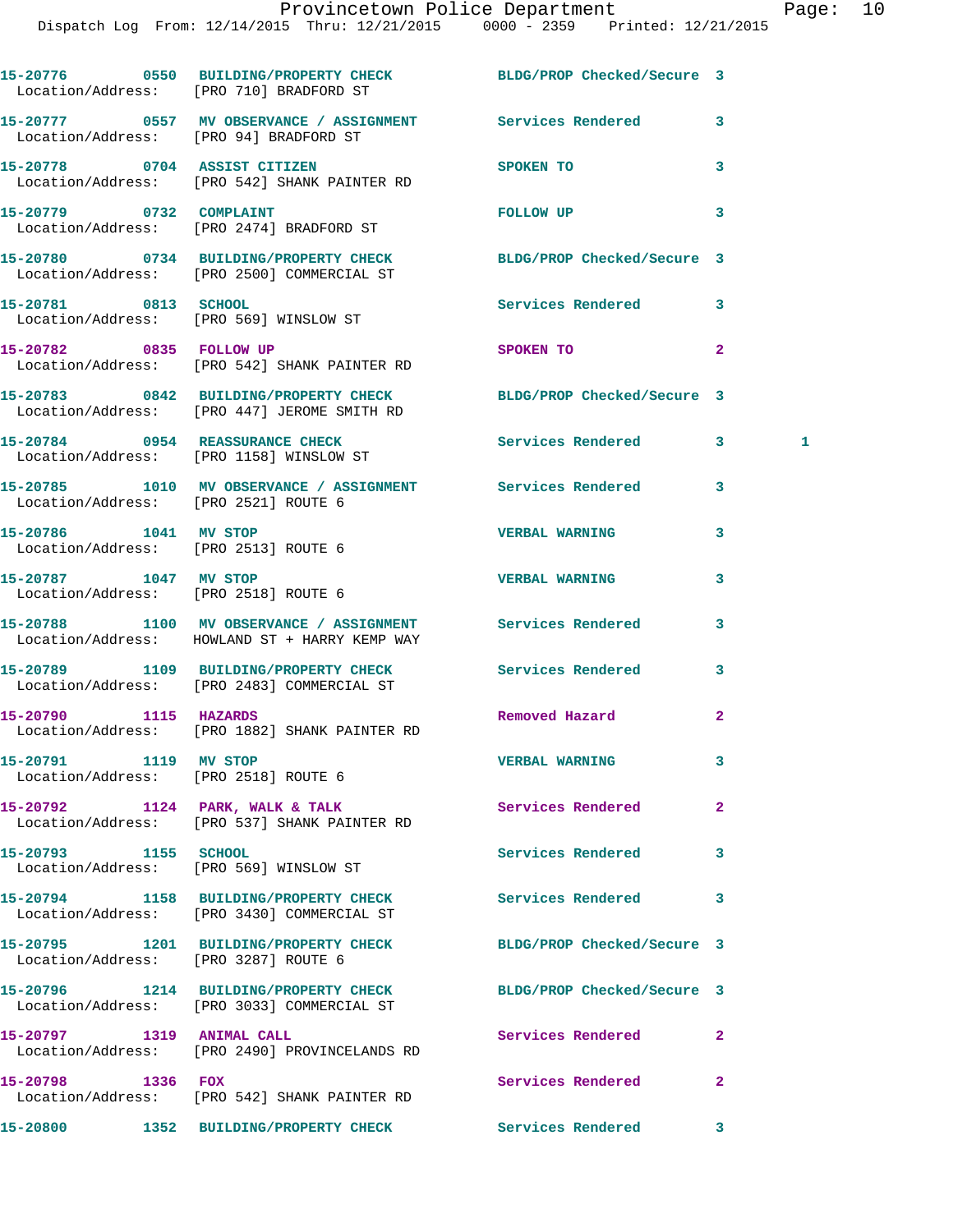|                                                               | 15-20776 0550 BUILDING/PROPERTY CHECK BLDG/PROP Checked/Secure 3<br>Location/Address: [PRO 710] BRADFORD ST     |                            |                |
|---------------------------------------------------------------|-----------------------------------------------------------------------------------------------------------------|----------------------------|----------------|
|                                                               | 15-20777 0557 MV OBSERVANCE / ASSIGNMENT Services Rendered<br>Location/Address: [PRO 94] BRADFORD ST            |                            | 3              |
|                                                               | 15-20778 0704 ASSIST CITIZEN<br>Location/Address: [PRO 542] SHANK PAINTER RD                                    | SPOKEN TO                  | 3              |
| 15-20779 0732 COMPLAINT                                       | Location/Address: [PRO 2474] BRADFORD ST                                                                        | FOLLOW UP                  | 3              |
|                                                               | 15-20780 0734 BUILDING/PROPERTY CHECK BLDG/PROP Checked/Secure 3<br>Location/Address: [PRO 2500] COMMERCIAL ST  |                            |                |
| 15-20781 0813 SCHOOL                                          | Location/Address: [PRO 569] WINSLOW ST                                                                          | Services Rendered          | 3              |
|                                                               | 15-20782 0835 FOLLOW UP<br>Location/Address: [PRO 542] SHANK PAINTER RD                                         | SPOKEN TO                  | $\mathbf{2}$   |
|                                                               | 15-20783 0842 BUILDING/PROPERTY CHECK BLDG/PROP Checked/Secure 3<br>Location/Address: [PRO 447] JEROME SMITH RD |                            |                |
|                                                               | 15-20784 0954 REASSURANCE CHECK<br>Location/Address: [PRO 1158] WINSLOW ST                                      | Services Rendered          | 3<br>1         |
| Location/Address: [PRO 2521] ROUTE 6                          | 15-20785 1010 MV OBSERVANCE / ASSIGNMENT Services Rendered                                                      |                            | 3              |
| 15-20786 1041 MV STOP<br>Location/Address: [PRO 2513] ROUTE 6 |                                                                                                                 | <b>VERBAL WARNING</b>      | 3              |
| 15-20787 1047 MV STOP<br>Location/Address: [PRO 2518] ROUTE 6 |                                                                                                                 | <b>VERBAL WARNING</b>      | 3              |
|                                                               | 15-20788 1100 MV OBSERVANCE / ASSIGNMENT Services Rendered<br>Location/Address: HOWLAND ST + HARRY KEMP WAY     |                            | 3              |
|                                                               | 15-20789 1109 BUILDING/PROPERTY CHECK Services Rendered<br>Location/Address: [PRO 2483] COMMERCIAL ST           |                            | 3              |
|                                                               | 15-20790 1115 HAZARDS<br>Location/Address: [PRO 1882] SHANK PAINTER RD                                          | Removed Hazard             | $\mathbf{2}$   |
| 15-20791 1119 MV STOP<br>Location/Address: [PRO 2518] ROUTE 6 |                                                                                                                 | <b>VERBAL WARNING</b>      |                |
|                                                               | 15-20792 1124 PARK, WALK & TALK<br>Location/Address: [PRO 537] SHANK PAINTER RD                                 | Services Rendered          | $\overline{2}$ |
| 15-20793 1155 SCHOOL                                          | Location/Address: [PRO 569] WINSLOW ST                                                                          | Services Rendered          | 3              |
|                                                               | 15-20794 1158 BUILDING/PROPERTY CHECK<br>Location/Address: [PRO 3430] COMMERCIAL ST                             | Services Rendered          | 3              |
| Location/Address: [PRO 3287] ROUTE 6                          | 15-20795 1201 BUILDING/PROPERTY CHECK                                                                           | BLDG/PROP Checked/Secure 3 |                |
|                                                               | 15-20796 1214 BUILDING/PROPERTY CHECK<br>Location/Address: [PRO 3033] COMMERCIAL ST                             | BLDG/PROP Checked/Secure 3 |                |
| 15-20797 1319 ANIMAL CALL                                     | Location/Address: [PRO 2490] PROVINCELANDS RD                                                                   | Services Rendered          | $\mathbf{2}$   |
| 15-20798 1336 FOX                                             | Location/Address: [PRO 542] SHANK PAINTER RD                                                                    | Services Rendered          | $\mathbf{2}$   |
| 15-20800                                                      | 1352 BUILDING/PROPERTY CHECK                                                                                    | Services Rendered          | 3              |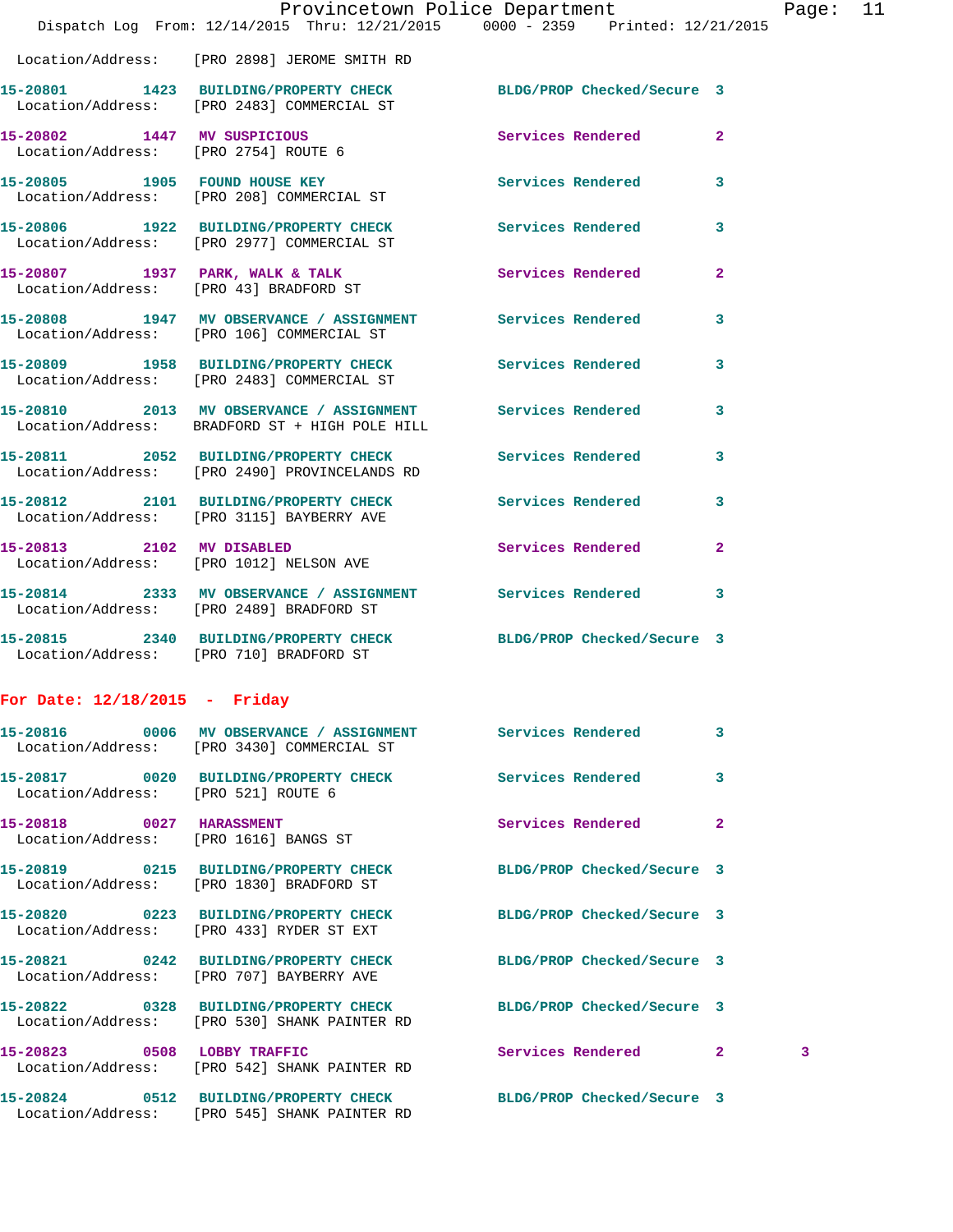|                                                                     | Dispatch Log From: 12/14/2015 Thru: 12/21/2015 0000 - 2359 Printed: 12/21/2015                                   |                            |                   |
|---------------------------------------------------------------------|------------------------------------------------------------------------------------------------------------------|----------------------------|-------------------|
|                                                                     | Location/Address: [PRO 2898] JEROME SMITH RD                                                                     |                            |                   |
|                                                                     | 15-20801 1423 BUILDING/PROPERTY CHECK BLDG/PROP Checked/Secure 3<br>Location/Address: [PRO 2483] COMMERCIAL ST   |                            |                   |
| 15-20802 1447 MV SUSPICIOUS<br>Location/Address: [PRO 2754] ROUTE 6 |                                                                                                                  | Services Rendered          | $\mathbf{2}$      |
|                                                                     | 15-20805 1905 FOUND HOUSE KEY<br>Location/Address: [PRO 208] COMMERCIAL ST                                       | <b>Services Rendered</b>   | 3                 |
|                                                                     | 15-20806 1922 BUILDING/PROPERTY CHECK<br>Location/Address: [PRO 2977] COMMERCIAL ST                              | Services Rendered          | 3                 |
|                                                                     | 15-20807 1937 PARK, WALK & TALK<br>Location/Address: [PRO 43] BRADFORD ST                                        | <b>Services Rendered</b>   | $\mathbf{2}$      |
|                                                                     | 15-20808 1947 MV OBSERVANCE / ASSIGNMENT Services Rendered<br>Location/Address: [PRO 106] COMMERCIAL ST          |                            | 3                 |
|                                                                     | 15-20809 1958 BUILDING/PROPERTY CHECK Services Rendered<br>Location/Address: [PRO 2483] COMMERCIAL ST            |                            | 3                 |
|                                                                     | 15-20810 2013 MV OBSERVANCE / ASSIGNMENT Services Rendered<br>Location/Address: BRADFORD ST + HIGH POLE HILL     |                            | 3                 |
|                                                                     | 15-20811 2052 BUILDING/PROPERTY CHECK Services Rendered<br>Location/Address: [PRO 2490] PROVINCELANDS RD         |                            | 3                 |
|                                                                     | 15-20812 2101 BUILDING/PROPERTY CHECK Services Rendered<br>Location/Address: [PRO 3115] BAYBERRY AVE             |                            | 3                 |
|                                                                     | 15-20813 2102 MV DISABLED<br>Location/Address: [PRO 1012] NELSON AVE                                             | Services Rendered          | $\mathbf{2}$      |
|                                                                     | 15-20814 2333 MV OBSERVANCE / ASSIGNMENT Services Rendered<br>Location/Address: [PRO 2489] BRADFORD ST           |                            | $\mathbf{3}$      |
|                                                                     | 15-20815 2340 BUILDING/PROPERTY CHECK BLDG/PROP Checked/Secure 3<br>Location/Address: [PRO 710] BRADFORD ST      |                            |                   |
| For Date: $12/18/2015$ - Friday                                     |                                                                                                                  |                            |                   |
|                                                                     | 15-20816 0006 MV OBSERVANCE / ASSIGNMENT<br>Location/Address: [PRO 3430] COMMERCIAL ST                           | Services Rendered          | 3                 |
| Location/Address: [PRO 521] ROUTE 6                                 |                                                                                                                  |                            | 3                 |
| 15-20818 0027 HARASSMENT                                            | Location/Address: [PRO 1616] BANGS ST                                                                            | Services Rendered          | $\mathbf{2}$      |
|                                                                     | 15-20819 0215 BUILDING/PROPERTY CHECK<br>Location/Address: [PRO 1830] BRADFORD ST                                | BLDG/PROP Checked/Secure 3 |                   |
|                                                                     | 15-20820 0223 BUILDING/PROPERTY CHECK<br>Location/Address: [PRO 433] RYDER ST EXT                                | BLDG/PROP Checked/Secure 3 |                   |
|                                                                     | 15-20821 0242 BUILDING/PROPERTY CHECK<br>Location/Address: [PRO 707] BAYBERRY AVE                                | BLDG/PROP Checked/Secure 3 |                   |
|                                                                     | 15-20822 0328 BUILDING/PROPERTY CHECK BLDG/PROP Checked/Secure 3<br>Location/Address: [PRO 530] SHANK PAINTER RD |                            |                   |
| 15-20823 0508 LOBBY TRAFFIC                                         | Location/Address: [PRO 542] SHANK PAINTER RD                                                                     | Services Rendered          | $\mathbf{2}$<br>3 |
|                                                                     | 15-20824 0512 BUILDING/PROPERTY CHECK                                                                            | BLDG/PROP Checked/Secure 3 |                   |

Location/Address: [PRO 545] SHANK PAINTER RD

Provincetown Police Department Page: 11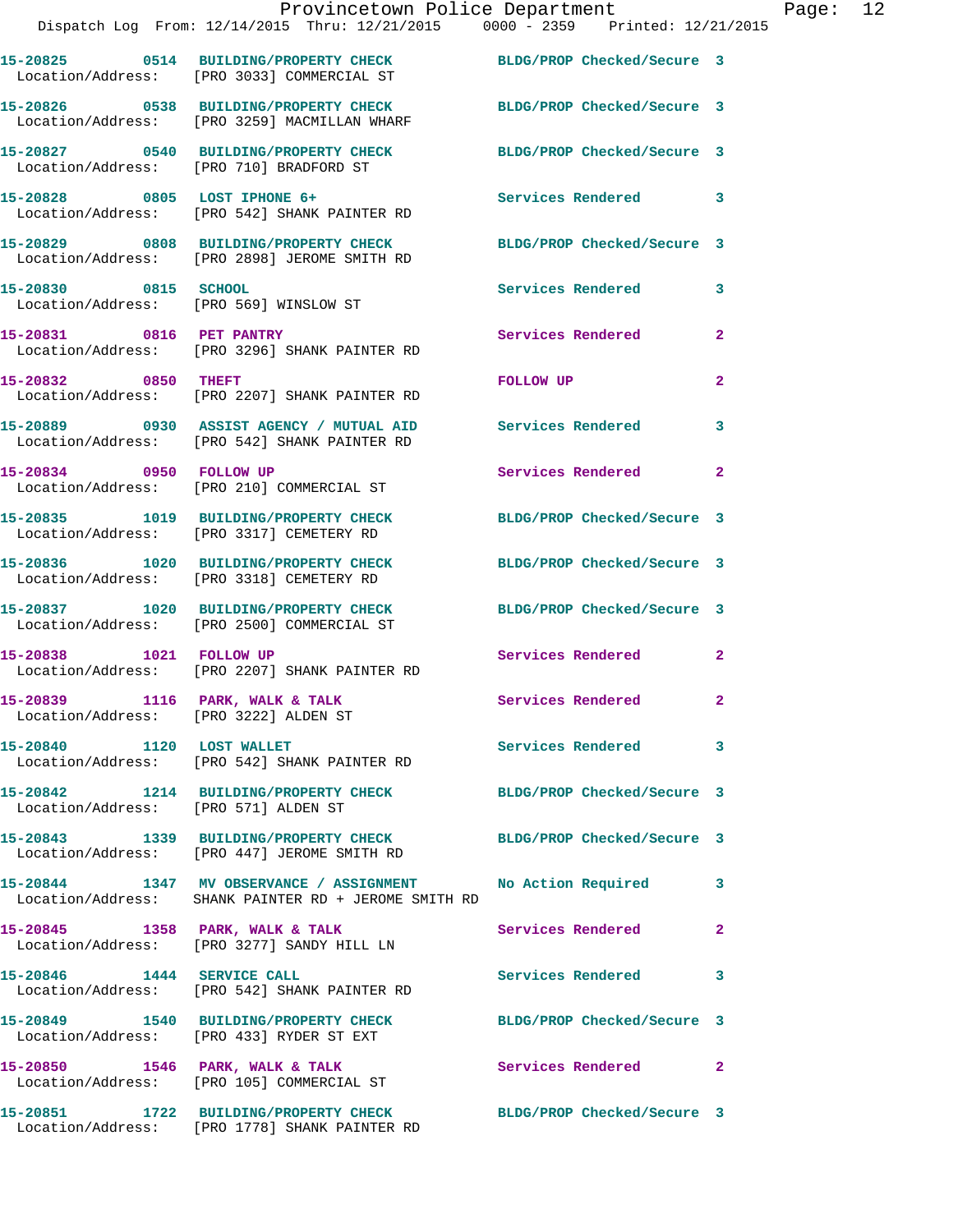|                                       | Provincetown Police Department<br>Dispatch Log From: 12/14/2015 Thru: 12/21/2015 0000 - 2359 Printed: 12/21/2015    |                            |                |
|---------------------------------------|---------------------------------------------------------------------------------------------------------------------|----------------------------|----------------|
|                                       | 15-20825 0514 BUILDING/PROPERTY CHECK BLDG/PROP Checked/Secure 3<br>Location/Address: [PRO 3033] COMMERCIAL ST      |                            |                |
|                                       | 15-20826 0538 BUILDING/PROPERTY CHECK BLDG/PROP Checked/Secure 3<br>Location/Address: [PRO 3259] MACMILLAN WHARF    |                            |                |
|                                       | 15-20827 0540 BUILDING/PROPERTY CHECK BLDG/PROP Checked/Secure 3<br>Location/Address: [PRO 710] BRADFORD ST         |                            |                |
|                                       | 15-20828 0805 LOST IPHONE 6+<br>Location/Address: [PRO 542] SHANK PAINTER RD                                        | <b>Services Rendered</b>   | 3              |
|                                       | 15-20829 0808 BUILDING/PROPERTY CHECK BLDG/PROP Checked/Secure 3<br>Location/Address: [PRO 2898] JEROME SMITH RD    |                            |                |
| 15-20830 0815 SCHOOL                  | Location/Address: [PRO 569] WINSLOW ST                                                                              | Services Rendered          | 3              |
|                                       | 15-20831 0816 PET PANTRY<br>Location/Address: [PRO 3296] SHANK PAINTER RD                                           | Services Rendered          | $\mathbf{2}$   |
| 15-20832 0850 THEFT                   | Location/Address: [PRO 2207] SHANK PAINTER RD                                                                       | FOLLOW UP                  | $\mathbf{2}$   |
|                                       | 15-20889 0930 ASSIST AGENCY / MUTUAL AID Services Rendered<br>Location/Address: [PRO 542] SHANK PAINTER RD          |                            | 3              |
| 15-20834 0950 FOLLOW UP               | Location/Address: [PRO 210] COMMERCIAL ST                                                                           | Services Rendered          | $\mathbf{2}$   |
|                                       | 15-20835 1019 BUILDING/PROPERTY CHECK<br>Location/Address: [PRO 3317] CEMETERY RD                                   | BLDG/PROP Checked/Secure 3 |                |
|                                       | 15-20836 1020 BUILDING/PROPERTY CHECK BLDG/PROP Checked/Secure 3<br>Location/Address: [PRO 3318] CEMETERY RD        |                            |                |
|                                       | 15-20837 1020 BUILDING/PROPERTY CHECK BLDG/PROP Checked/Secure 3<br>Location/Address: [PRO 2500] COMMERCIAL ST      |                            |                |
| 15-20838 1021 FOLLOW UP               | Location/Address: [PRO 2207] SHANK PAINTER RD                                                                       | <b>Services Rendered</b>   | $\mathbf{2}$   |
| Location/Address: [PRO 3222] ALDEN ST | 15-20839 1116 PARK, WALK & TALK                                                                                     | Services Rendered          | $\mathbf{2}$   |
| 15-20840 1120 LOST WALLET             | Location/Address: [PRO 542] SHANK PAINTER RD                                                                        | Services Rendered          | 3              |
| Location/Address: [PRO 571] ALDEN ST  | 15-20842 1214 BUILDING/PROPERTY CHECK                                                                               | BLDG/PROP Checked/Secure 3 |                |
|                                       | 15-20843 1339 BUILDING/PROPERTY CHECK BLDG/PROP Checked/Secure 3<br>Location/Address: [PRO 447] JEROME SMITH RD     |                            |                |
|                                       | 15-20844 1347 MV OBSERVANCE / ASSIGNMENT No Action Required<br>Location/Address: SHANK PAINTER RD + JEROME SMITH RD |                            | 3              |
|                                       | 15-20845 1358 PARK, WALK & TALK<br>Location/Address: [PRO 3277] SANDY HILL LN                                       | Services Rendered          | $\mathbf{2}$   |
| 15-20846 1444 SERVICE CALL            | Location/Address: [PRO 542] SHANK PAINTER RD                                                                        | <b>Services Rendered</b>   | 3              |
|                                       | 15-20849 1540 BUILDING/PROPERTY CHECK BLDG/PROP Checked/Secure 3<br>Location/Address: [PRO 433] RYDER ST EXT        |                            |                |
|                                       | 15-20850 1546 PARK, WALK & TALK<br>Location/Address: [PRO 105] COMMERCIAL ST                                        | <b>Services Rendered</b>   | $\overline{2}$ |
|                                       | 15-20851 1722 BUILDING/PROPERTY CHECK BLDG/PROP Checked/Secure 3                                                    |                            |                |

Location/Address: [PRO 1778] SHANK PAINTER RD

Page:  $12$ <br> $15$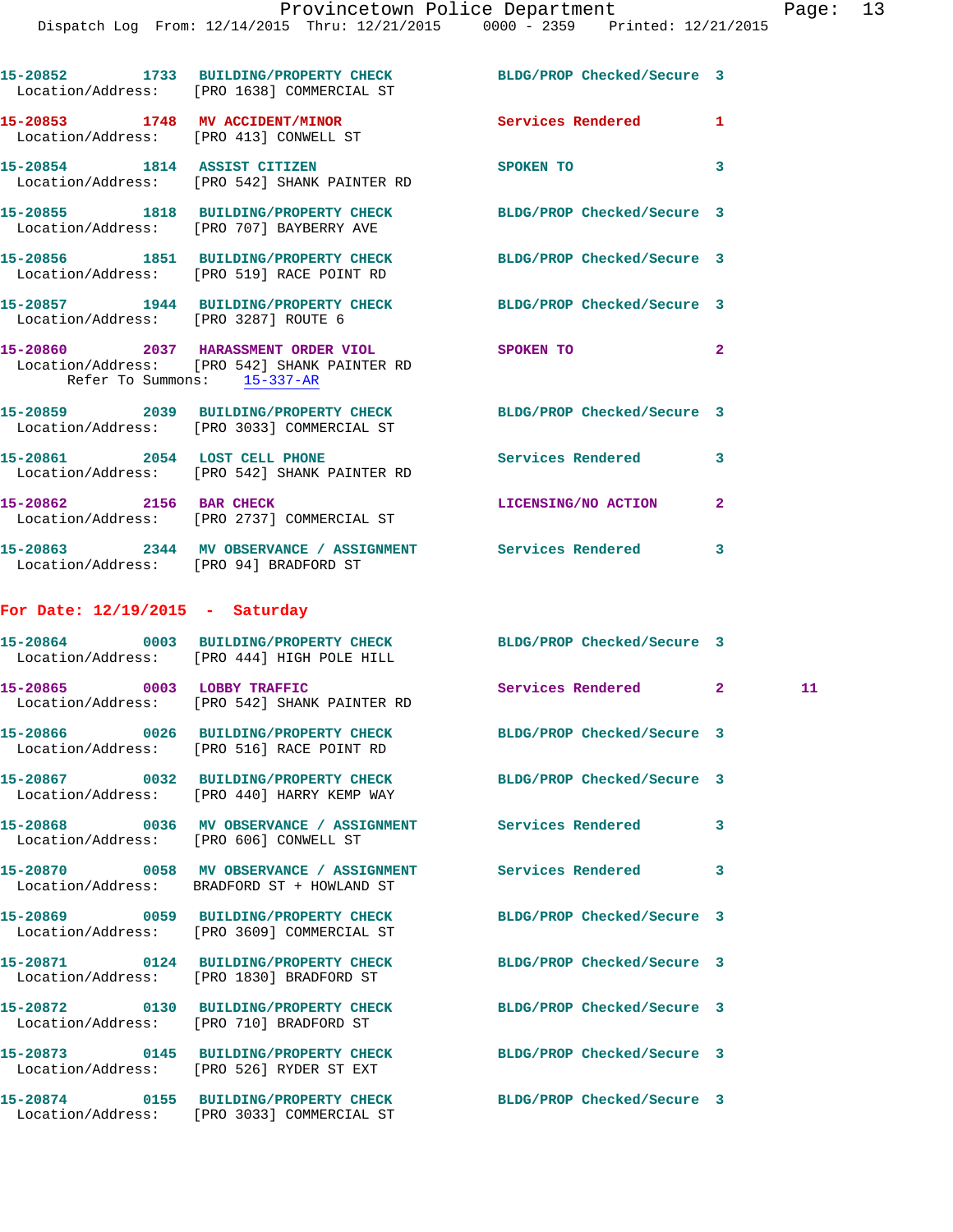|                                        | 15-20852 1733 BUILDING/PROPERTY CHECK BLDG/PROP Checked/Secure 3<br>Location/Address: [PRO 1638] COMMERCIAL ST |                            |              |    |
|----------------------------------------|----------------------------------------------------------------------------------------------------------------|----------------------------|--------------|----|
|                                        | 15-20853 1748 MV ACCIDENT/MINOR Services Rendered 1<br>Location/Address: [PRO 413] CONWELL ST                  |                            |              |    |
|                                        | 15-20854 1814 ASSIST CITIZEN<br>Location/Address: [PRO 542] SHANK PAINTER RD                                   | SPOKEN TO                  | 3            |    |
|                                        | 15-20855 1818 BUILDING/PROPERTY CHECK BLDG/PROP Checked/Secure 3<br>Location/Address: [PRO 707] BAYBERRY AVE   |                            |              |    |
|                                        | 15-20856 1851 BUILDING/PROPERTY CHECK BLDG/PROP Checked/Secure 3<br>Location/Address: [PRO 519] RACE POINT RD  |                            |              |    |
| Location/Address: [PRO 3287] ROUTE 6   | 15-20857 1944 BUILDING/PROPERTY CHECK BLDG/PROP Checked/Secure 3                                               |                            |              |    |
| Refer To Summons: 15-337-AR            | 15-20860 2037 HARASSMENT ORDER VIOL SPOKEN TO<br>Location/Address: [PRO 542] SHANK PAINTER RD                  |                            |              |    |
|                                        | 15-20859 2039 BUILDING/PROPERTY CHECK BLDG/PROP Checked/Secure 3<br>Location/Address: [PRO 3033] COMMERCIAL ST |                            |              |    |
|                                        | 15-20861 2054 LOST CELL PHONE<br>Location/Address: [PRO 542] SHANK PAINTER RD                                  | Services Rendered          | 3            |    |
|                                        | 15-20862 2156 BAR CHECK<br>Location/Address: [PRO 2737] COMMERCIAL ST                                          | LICENSING/NO ACTION        | $\mathbf{2}$ |    |
| Location/Address: [PRO 94] BRADFORD ST | 15-20863 2344 MV OBSERVANCE / ASSIGNMENT Services Rendered                                                     |                            | 3            |    |
| For Date: $12/19/2015$ - Saturday      |                                                                                                                |                            |              |    |
|                                        | 15-20864 0003 BUILDING/PROPERTY CHECK BLDG/PROP Checked/Secure 3<br>Location/Address: [PRO 444] HIGH POLE HILL |                            |              |    |
|                                        | 15-20865 0003 LOBBY TRAFFIC<br>Location/Address: [PRO 542] SHANK PAINTER RD                                    | Services Rendered 2        |              | 11 |
|                                        | 15-20866 0026 BUILDING/PROPERTY CHECK BLDG/PROP Checked/Secure 3<br>Location/Address: [PRO 516] RACE POINT RD  |                            |              |    |
|                                        | 15-20867 0032 BUILDING/PROPERTY CHECK BLDG/PROP Checked/Secure 3<br>Location/Address: [PRO 440] HARRY KEMP WAY |                            |              |    |
|                                        | 15-20868 0036 MV OBSERVANCE / ASSIGNMENT Services Rendered<br>Location/Address: [PRO 606] CONWELL ST           |                            | 3            |    |
|                                        | 15-20870 0058 MV OBSERVANCE / ASSIGNMENT Services Rendered<br>Location/Address: BRADFORD ST + HOWLAND ST       |                            | 3            |    |
|                                        | 15-20869 0059 BUILDING/PROPERTY CHECK BLDG/PROP Checked/Secure 3<br>Location/Address: [PRO 3609] COMMERCIAL ST |                            |              |    |
|                                        | 15-20871 0124 BUILDING/PROPERTY CHECK BLDG/PROP Checked/Secure 3<br>Location/Address: [PRO 1830] BRADFORD ST   |                            |              |    |
|                                        | 15-20872 0130 BUILDING/PROPERTY CHECK BLDG/PROP Checked/Secure 3<br>Location/Address: [PRO 710] BRADFORD ST    |                            |              |    |
|                                        | 15-20873 0145 BUILDING/PROPERTY CHECK<br>Location/Address: [PRO 526] RYDER ST EXT                              | BLDG/PROP Checked/Secure 3 |              |    |
|                                        | 15-20874 0155 BUILDING/PROPERTY CHECK<br>Location/Address: [PRO 3033] COMMERCIAL ST                            | BLDG/PROP Checked/Secure 3 |              |    |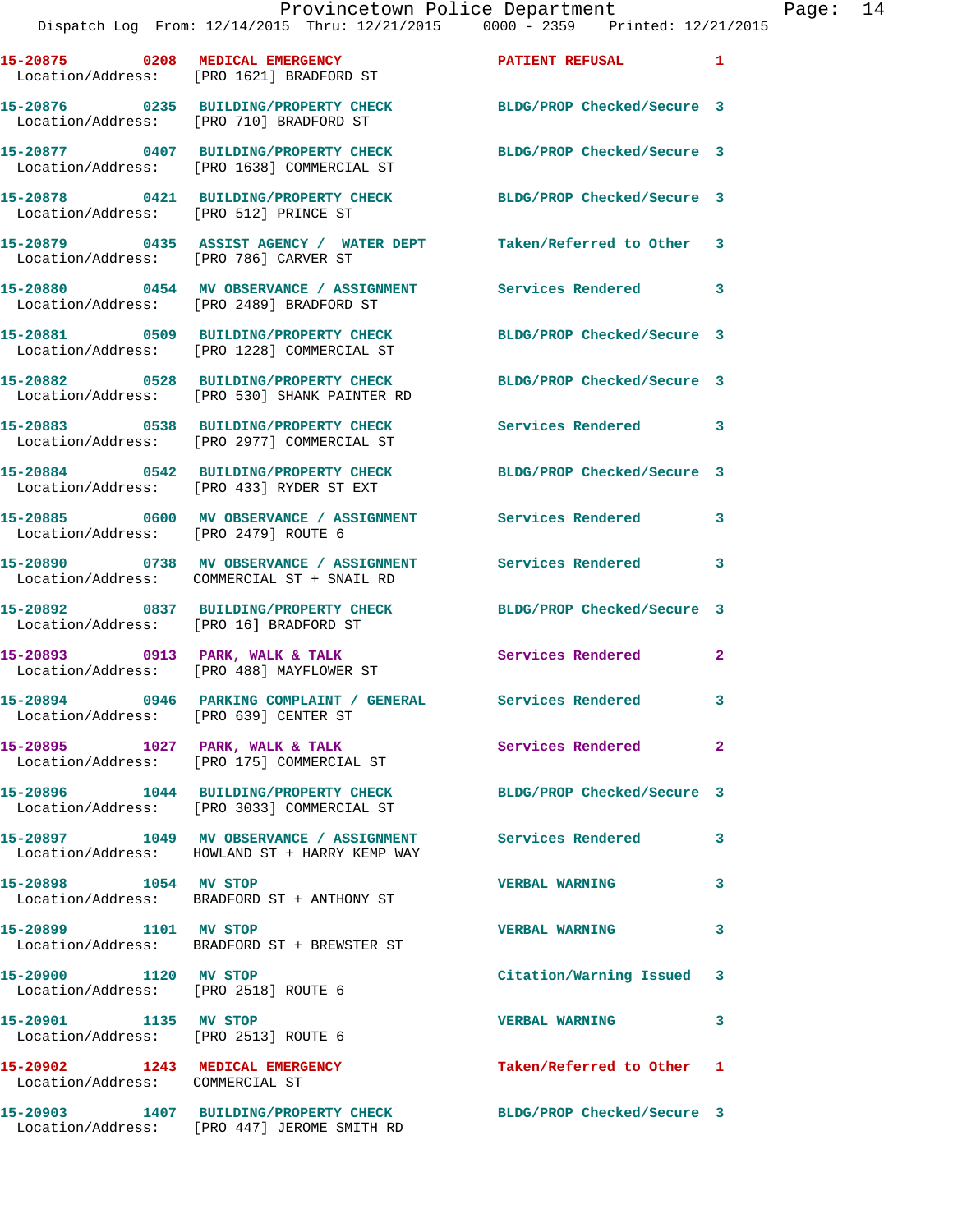| Location/Address:                                                  | 15-20875 0208 MEDICAL EMERGENCY<br>[PRO 1621] BRADFORD ST                                                   | <b>PATIENT REFUSAL</b>     | $\mathbf{1}$ |
|--------------------------------------------------------------------|-------------------------------------------------------------------------------------------------------------|----------------------------|--------------|
|                                                                    | 15-20876 0235 BUILDING/PROPERTY CHECK<br>Location/Address: [PRO 710] BRADFORD ST                            | BLDG/PROP Checked/Secure 3 |              |
| Location/Address:                                                  | 15-20877 0407 BUILDING/PROPERTY CHECK<br>[PRO 1638] COMMERCIAL ST                                           | BLDG/PROP Checked/Secure 3 |              |
| Location/Address: [PRO 512] PRINCE ST                              | 15-20878 0421 BUILDING/PROPERTY CHECK                                                                       | BLDG/PROP Checked/Secure 3 |              |
| Location/Address: [PRO 786] CARVER ST                              | 15-20879 0435 ASSIST AGENCY / WATER DEPT Taken/Referred to Other 3                                          |                            |              |
|                                                                    | 15-20880 0454 MV OBSERVANCE / ASSIGNMENT<br>Location/Address: [PRO 2489] BRADFORD ST                        | Services Rendered 3        |              |
|                                                                    | 15-20881 0509 BUILDING/PROPERTY CHECK<br>Location/Address: [PRO 1228] COMMERCIAL ST                         | BLDG/PROP Checked/Secure 3 |              |
|                                                                    | 15-20882 0528 BUILDING/PROPERTY CHECK<br>Location/Address: [PRO 530] SHANK PAINTER RD                       | BLDG/PROP Checked/Secure 3 |              |
|                                                                    | 15-20883 0538 BUILDING/PROPERTY CHECK<br>Location/Address: [PRO 2977] COMMERCIAL ST                         | Services Rendered          | 3            |
|                                                                    | 15-20884 0542 BUILDING/PROPERTY CHECK<br>Location/Address: [PRO 433] RYDER ST EXT                           | BLDG/PROP Checked/Secure 3 |              |
| Location/Address: [PRO 2479] ROUTE 6                               |                                                                                                             | <b>Services Rendered</b>   | 3            |
|                                                                    | 15-20890 0738 MV OBSERVANCE / ASSIGNMENT<br>Location/Address: COMMERCIAL ST + SNAIL RD                      | Services Rendered          | 3            |
| Location/Address: [PRO 16] BRADFORD ST                             | 15-20892 0837 BUILDING/PROPERTY CHECK                                                                       | BLDG/PROP Checked/Secure 3 |              |
|                                                                    | 15-20893 0913 PARK, WALK & TALK<br>Location/Address: [PRO 488] MAYFLOWER ST                                 | Services Rendered          | $\mathbf{2}$ |
| Location/Address: [PRO 639] CENTER ST                              | 15-20894 0946 PARKING COMPLAINT / GENERAL Services Rendered 3                                               |                            |              |
|                                                                    | 15-20895 1027 PARK, WALK & TALK<br>Location/Address: [PRO 175] COMMERCIAL ST                                | Services Rendered          | -2           |
|                                                                    | 15-20896 1044 BUILDING/PROPERTY CHECK<br>Location/Address: [PRO 3033] COMMERCIAL ST                         | BLDG/PROP Checked/Secure 3 |              |
|                                                                    | 15-20897 1049 MV OBSERVANCE / ASSIGNMENT Services Rendered<br>Location/Address: HOWLAND ST + HARRY KEMP WAY |                            | 3            |
| 15-20898 1054 MV STOP                                              | Location/Address: BRADFORD ST + ANTHONY ST                                                                  | <b>VERBAL WARNING</b>      | 3            |
| 15-20899 1101 MV STOP                                              | Location/Address: BRADFORD ST + BREWSTER ST                                                                 | <b>VERBAL WARNING</b>      | $\mathbf{3}$ |
| 15-20900 1120 MV STOP<br>Location/Address: [PRO 2518] ROUTE 6      |                                                                                                             | Citation/Warning Issued 3  |              |
| 15-20901 1135 MV STOP<br>Location/Address: [PRO 2513] ROUTE 6      |                                                                                                             | <b>VERBAL WARNING</b>      | 3            |
| 15-20902 1243 MEDICAL EMERGENCY<br>Location/Address: COMMERCIAL ST |                                                                                                             | Taken/Referred to Other 1  |              |
|                                                                    | 15-20903 1407 BUILDING/PROPERTY CHECK<br>Location/Address: [PRO 447] JEROME SMITH RD                        | BLDG/PROP Checked/Secure 3 |              |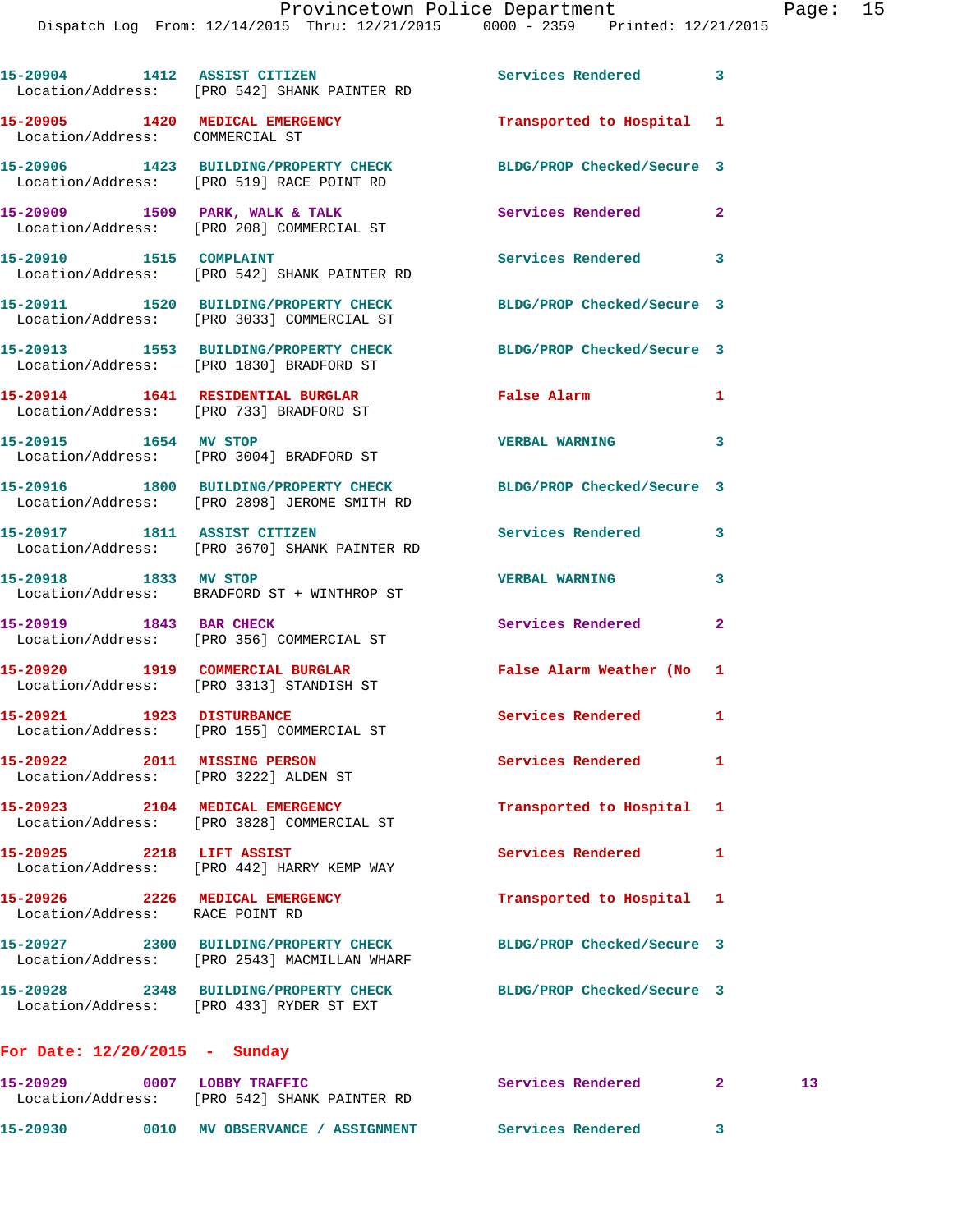|                                                                       | 15-20904 1412 ASSIST CITIZEN<br>Location/Address: [PRO 542] SHANK PAINTER RD          | Services Rendered 3        |              |
|-----------------------------------------------------------------------|---------------------------------------------------------------------------------------|----------------------------|--------------|
| 15-20905 1420 MEDICAL EMERGENCY<br>Location/Address: COMMERCIAL ST    |                                                                                       | Transported to Hospital 1  |              |
|                                                                       | 15-20906 1423 BUILDING/PROPERTY CHECK<br>Location/Address: [PRO 519] RACE POINT RD    | BLDG/PROP Checked/Secure 3 |              |
|                                                                       | 15-20909 1509 PARK, WALK & TALK<br>Location/Address: [PRO 208] COMMERCIAL ST          | Services Rendered 2        |              |
| 15-20910 1515 COMPLAINT                                               | Location/Address: [PRO 542] SHANK PAINTER RD                                          | Services Rendered 3        |              |
|                                                                       | 15-20911 1520 BUILDING/PROPERTY CHECK<br>Location/Address: [PRO 3033] COMMERCIAL ST   | BLDG/PROP Checked/Secure 3 |              |
|                                                                       | 15-20913 1553 BUILDING/PROPERTY CHECK<br>Location/Address: [PRO 1830] BRADFORD ST     | BLDG/PROP Checked/Secure 3 |              |
|                                                                       | 15-20914 1641 RESIDENTIAL BURGLAR<br>Location/Address: [PRO 733] BRADFORD ST          | False Alarm                | $\mathbf{1}$ |
| 15-20915 1654 MV STOP                                                 | Location/Address: [PRO 3004] BRADFORD ST                                              | <b>VERBAL WARNING</b>      | 3            |
|                                                                       | 15-20916 1800 BUILDING/PROPERTY CHECK<br>Location/Address: [PRO 2898] JEROME SMITH RD | BLDG/PROP Checked/Secure 3 |              |
| 15-20917 1811 ASSIST CITIZEN                                          | Location/Address: [PRO 3670] SHANK PAINTER RD                                         | <b>Services Rendered</b>   | 3            |
| 15-20918 1833 MV STOP                                                 | Location/Address: BRADFORD ST + WINTHROP ST                                           | <b>VERBAL WARNING</b>      | 3            |
| 15-20919 1843 BAR CHECK                                               | Location/Address: [PRO 356] COMMERCIAL ST                                             | Services Rendered          | $\mathbf{2}$ |
|                                                                       | 15-20920 1919 COMMERCIAL BURGLAR<br>Location/Address: [PRO 3313] STANDISH ST          | False Alarm Weather (No 1  |              |
|                                                                       | 15-20921 1923 DISTURBANCE<br>Location/Address: [PRO 155] COMMERCIAL ST                | Services Rendered 1        |              |
| 15-20922 2011 MISSING PERSON<br>Location/Address: [PRO 3222] ALDEN ST |                                                                                       | <b>Services Rendered</b>   | $\mathbf{1}$ |
|                                                                       | 15-20923 2104 MEDICAL EMERGENCY<br>Location/Address: [PRO 3828] COMMERCIAL ST         | Transported to Hospital 1  |              |
| 15-20925 2218 LIFT ASSIST                                             | Location/Address: [PRO 442] HARRY KEMP WAY                                            | Services Rendered          | 1            |
| 15-20926 2226 MEDICAL EMERGENCY<br>Location/Address: RACE POINT RD    |                                                                                       | Transported to Hospital 1  |              |
|                                                                       | 15-20927 2300 BUILDING/PROPERTY CHECK<br>Location/Address: [PRO 2543] MACMILLAN WHARF | BLDG/PROP Checked/Secure 3 |              |
|                                                                       | 15-20928 2348 BUILDING/PROPERTY CHECK<br>Location/Address: [PRO 433] RYDER ST EXT     | BLDG/PROP Checked/Secure 3 |              |
| For Date: $12/20/2015$ - Sunday                                       |                                                                                       |                            |              |

**15-20929 0007 LOBBY TRAFFIC Services Rendered 2 13**  Location/Address: [PRO 542] SHANK PAINTER RD **15-20930 0010 MV OBSERVANCE / ASSIGNMENT Services Rendered 3**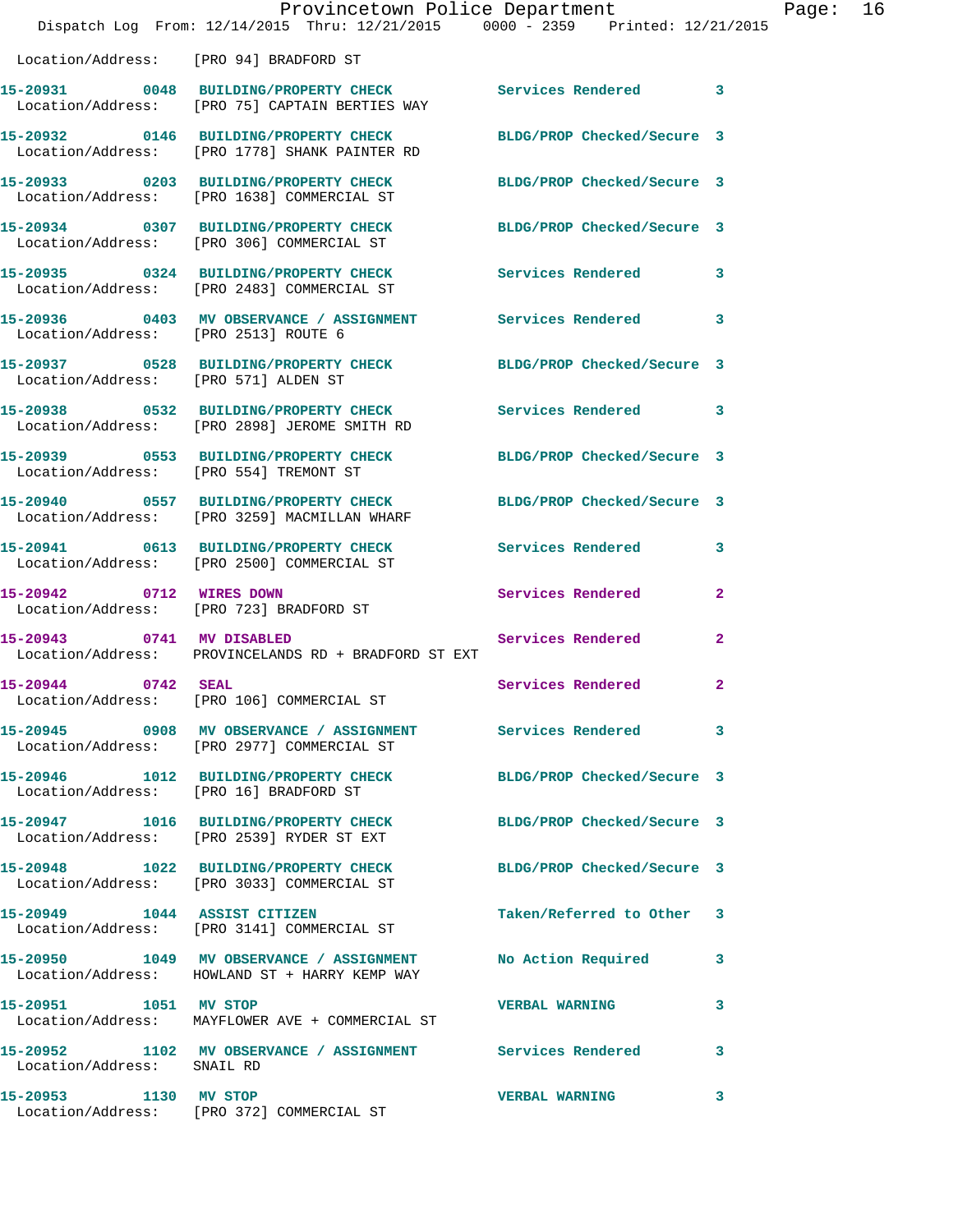|                                        | Provincetown Police Department<br>Dispatch Log From: 12/14/2015 Thru: 12/21/2015 0000 - 2359 Printed: 12/21/2015  |                            |                | Page: | 16 |
|----------------------------------------|-------------------------------------------------------------------------------------------------------------------|----------------------------|----------------|-------|----|
|                                        | Location/Address: [PRO 94] BRADFORD ST                                                                            |                            |                |       |    |
|                                        | 15-20931 0048 BUILDING/PROPERTY CHECK Services Rendered 3<br>Location/Address: [PRO 75] CAPTAIN BERTIES WAY       |                            |                |       |    |
|                                        | 15-20932 0146 BUILDING/PROPERTY CHECK BLDG/PROP Checked/Secure 3<br>Location/Address: [PRO 1778] SHANK PAINTER RD |                            |                |       |    |
|                                        | 15-20933 0203 BUILDING/PROPERTY CHECK<br>Location/Address: [PRO 1638] COMMERCIAL ST                               | BLDG/PROP Checked/Secure 3 |                |       |    |
|                                        | 15-20934 0307 BUILDING/PROPERTY CHECK BLDG/PROP Checked/Secure 3<br>Location/Address: [PRO 306] COMMERCIAL ST     |                            |                |       |    |
|                                        | 15-20935 0324 BUILDING/PROPERTY CHECK Services Rendered 3<br>Location/Address: [PRO 2483] COMMERCIAL ST           |                            |                |       |    |
| Location/Address: [PRO 2513] ROUTE 6   | 15-20936 6403 MV OBSERVANCE / ASSIGNMENT Services Rendered 3                                                      |                            |                |       |    |
| Location/Address: [PRO 571] ALDEN ST   | 15-20937 0528 BUILDING/PROPERTY CHECK BLDG/PROP Checked/Secure 3                                                  |                            |                |       |    |
|                                        | 15-20938 0532 BUILDING/PROPERTY CHECK Services Rendered 3<br>Location/Address: [PRO 2898] JEROME SMITH RD         |                            |                |       |    |
|                                        | 15-20939 0553 BUILDING/PROPERTY CHECK BLDG/PROP Checked/Secure 3<br>Location/Address: [PRO 554] TREMONT ST        |                            |                |       |    |
|                                        | 15-20940 0557 BUILDING/PROPERTY CHECK<br>Location/Address: [PRO 3259] MACMILLAN WHARF                             | BLDG/PROP Checked/Secure 3 |                |       |    |
|                                        | 15-20941 0613 BUILDING/PROPERTY CHECK<br>Location/Address: [PRO 2500] COMMERCIAL ST                               | Services Rendered          | 3              |       |    |
|                                        | 15-20942 0712 WIRES DOWN<br>Location/Address: [PRO 723] BRADFORD ST                                               | Services Rendered          | $\mathbf{2}$   |       |    |
| 15-20943 0741 MV DISABLED              | Location/Address: PROVINCELANDS RD + BRADFORD ST EXT                                                              | Services Rendered          | $\mathbf{2}$   |       |    |
| 15-20944 0742 SEAL                     | Location/Address: [PRO 106] COMMERCIAL ST                                                                         | <b>Services Rendered</b>   | $\overline{2}$ |       |    |
|                                        | 15-20945 0908 MV OBSERVANCE / ASSIGNMENT Services Rendered 3<br>Location/Address: [PRO 2977] COMMERCIAL ST        |                            |                |       |    |
| Location/Address: [PRO 16] BRADFORD ST | 15-20946 1012 BUILDING/PROPERTY CHECK                                                                             | BLDG/PROP Checked/Secure 3 |                |       |    |
|                                        | 15-20947 1016 BUILDING/PROPERTY CHECK<br>Location/Address: [PRO 2539] RYDER ST EXT                                | BLDG/PROP Checked/Secure 3 |                |       |    |
|                                        | 15-20948 1022 BUILDING/PROPERTY CHECK<br>Location/Address: [PRO 3033] COMMERCIAL ST                               | BLDG/PROP Checked/Secure 3 |                |       |    |
| 15-20949 1044 ASSIST CITIZEN           | Location/Address: [PRO 3141] COMMERCIAL ST                                                                        | Taken/Referred to Other 3  |                |       |    |
|                                        | 15-20950 1049 MV OBSERVANCE / ASSIGNMENT<br>Location/Address: HOWLAND ST + HARRY KEMP WAY                         | No Action Required         | 3              |       |    |
| 15-20951 1051 MV STOP                  | Location/Address: MAYFLOWER AVE + COMMERCIAL ST                                                                   | <b>VERBAL WARNING</b>      | 3              |       |    |
| Location/Address: SNAIL RD             | 15-20952 1102 MV OBSERVANCE / ASSIGNMENT Services Rendered                                                        |                            | 3              |       |    |
| 15-20953 1130 MV STOP                  | Location/Address: [PRO 372] COMMERCIAL ST                                                                         | <b>VERBAL WARNING</b>      | 3              |       |    |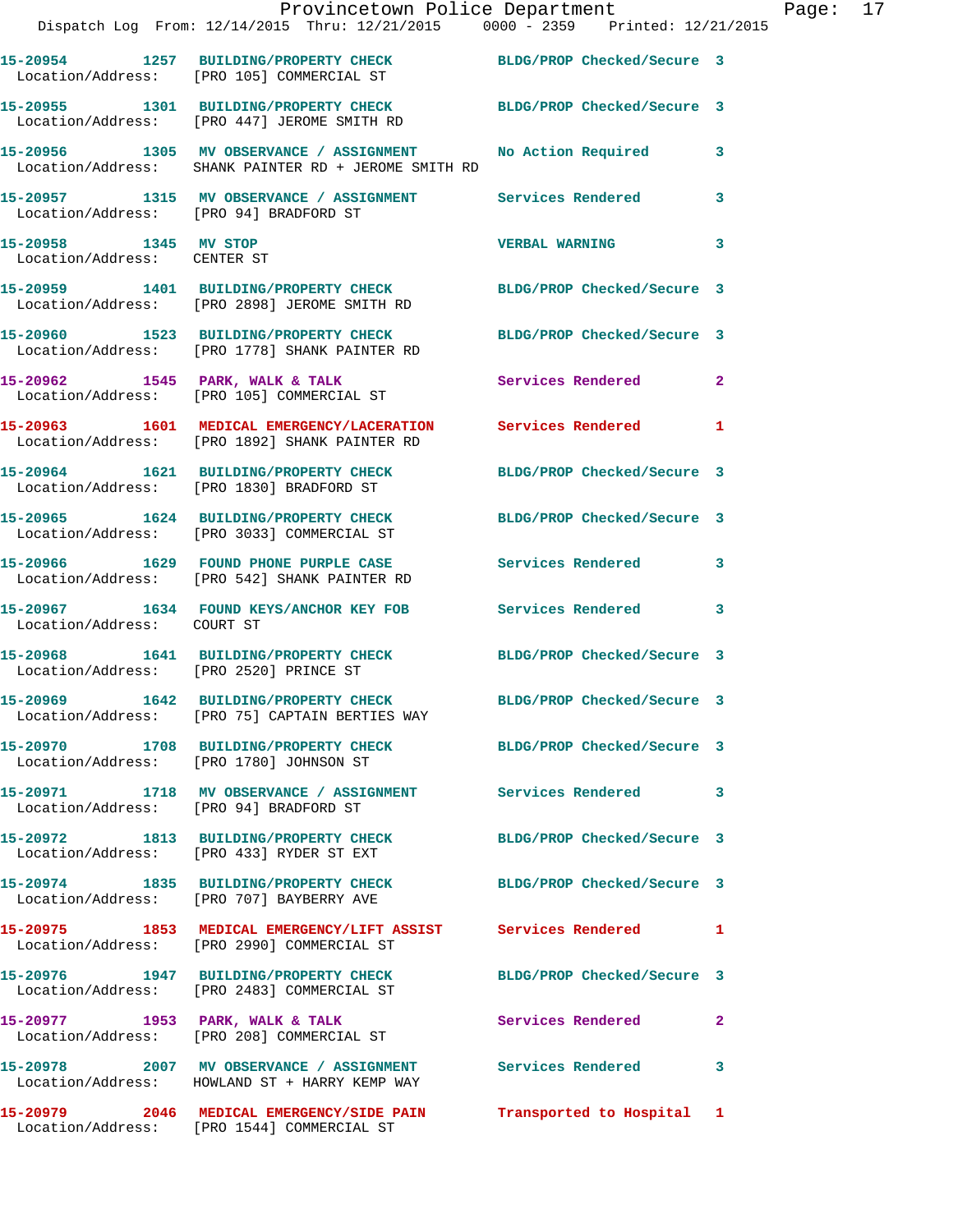|                                                      | Provincetown Police Department The Page: 17<br>Dispatch Log From: 12/14/2015 Thru: 12/21/2015 0000 - 2359 Printed: 12/21/2015 |                            |              |
|------------------------------------------------------|-------------------------------------------------------------------------------------------------------------------------------|----------------------------|--------------|
|                                                      | 15-20954 1257 BUILDING/PROPERTY CHECK BLDG/PROP Checked/Secure 3<br>Location/Address: [PRO 105] COMMERCIAL ST                 |                            |              |
|                                                      | 15-20955   1301   BUILDING/PROPERTY CHECK   BLDG/PROP Checked/Secure   3<br>Location/Address: [PRO 447] JEROME SMITH RD       |                            |              |
|                                                      | 15-20956 1305 MV OBSERVANCE / ASSIGNMENT No Action Required 3<br>Location/Address: SHANK PAINTER RD + JEROME SMITH RD         |                            |              |
| Location/Address: [PRO 94] BRADFORD ST               | 15-20957 1315 MV OBSERVANCE / ASSIGNMENT Services Rendered 3                                                                  |                            |              |
| 15-20958 1345 MV STOP<br>Location/Address: CENTER ST |                                                                                                                               | VERBAL WARNING 3           |              |
|                                                      | 15-20959 1401 BUILDING/PROPERTY CHECK BLDG/PROP Checked/Secure 3<br>Location/Address: [PRO 2898] JEROME SMITH RD              |                            |              |
|                                                      | 15-20960 1523 BUILDING/PROPERTY CHECK BLDG/PROP Checked/Secure 3<br>Location/Address: [PRO 1778] SHANK PAINTER RD             |                            |              |
|                                                      | 15-20962 1545 PARK, WALK & TALK 1999 Services Rendered 2<br>Location/Address: [PRO 105] COMMERCIAL ST                         |                            |              |
|                                                      | 15-20963 1601 MEDICAL EMERGENCY/LACERATION Services Rendered 1<br>Location/Address: [PRO 1892] SHANK PAINTER RD               |                            |              |
|                                                      | 15-20964   1621   BUILDING/PROPERTY CHECK   BLDG/PROP Checked/Secure   3<br>Location/Address: [PRO 1830] BRADFORD ST          |                            |              |
|                                                      | 15-20965   1624   BUILDING/PROPERTY CHECK   BLDG/PROP Checked/Secure   3<br>Location/Address: [PRO 3033] COMMERCIAL ST        |                            |              |
|                                                      | 15-20966 1629 FOUND PHONE PURPLE CASE Services Rendered 3<br>Location/Address: [PRO 542] SHANK PAINTER RD                     |                            |              |
| Location/Address: COURT ST                           | 15-20967 1634 FOUND KEYS/ANCHOR KEY FOB Services Rendered 3                                                                   |                            |              |
| Location/Address: [PRO 2520] PRINCE ST               | 15-20968 1641 BUILDING/PROPERTY CHECK BLDG/PROP Checked/Secure 3                                                              |                            |              |
|                                                      | 15-20969 1642 BUILDING/PROPERTY CHECK<br>Location/Address: [PRO 75] CAPTAIN BERTIES WAY                                       | BLDG/PROP Checked/Secure 3 |              |
|                                                      | 15-20970 1708 BUILDING/PROPERTY CHECK BLDG/PROP Checked/Secure 3<br>Location/Address: [PRO 1780] JOHNSON ST                   |                            |              |
| Location/Address: [PRO 94] BRADFORD ST               | 15-20971 1718 MV OBSERVANCE / ASSIGNMENT Services Rendered 3                                                                  |                            |              |
|                                                      | 15-20972 1813 BUILDING/PROPERTY CHECK BLDG/PROP Checked/Secure 3<br>Location/Address: [PRO 433] RYDER ST EXT                  |                            |              |
|                                                      | 15-20974 1835 BUILDING/PROPERTY CHECK BLDG/PROP Checked/Secure 3<br>Location/Address: [PRO 707] BAYBERRY AVE                  |                            |              |
|                                                      | 15-20975 1853 MEDICAL EMERGENCY/LIFT ASSIST Services Rendered 1<br>Location/Address: [PRO 2990] COMMERCIAL ST                 |                            |              |
|                                                      | 15-20976 1947 BUILDING/PROPERTY CHECK BLDG/PROP Checked/Secure 3<br>Location/Address: [PRO 2483] COMMERCIAL ST                |                            |              |
|                                                      | 15-20977 1953 PARK, WALK & TALK<br>Location/Address: [PRO 208] COMMERCIAL ST                                                  | Services Rendered          | $\mathbf{2}$ |
|                                                      | 15-20978 2007 MV OBSERVANCE / ASSIGNMENT Services Rendered 3<br>Location/Address: HOWLAND ST + HARRY KEMP WAY                 |                            |              |
|                                                      | 15-20979 2046 MEDICAL EMERGENCY/SIDE PAIN Transported to Hospital 1<br>Location/Address: [PRO 1544] COMMERCIAL ST             |                            |              |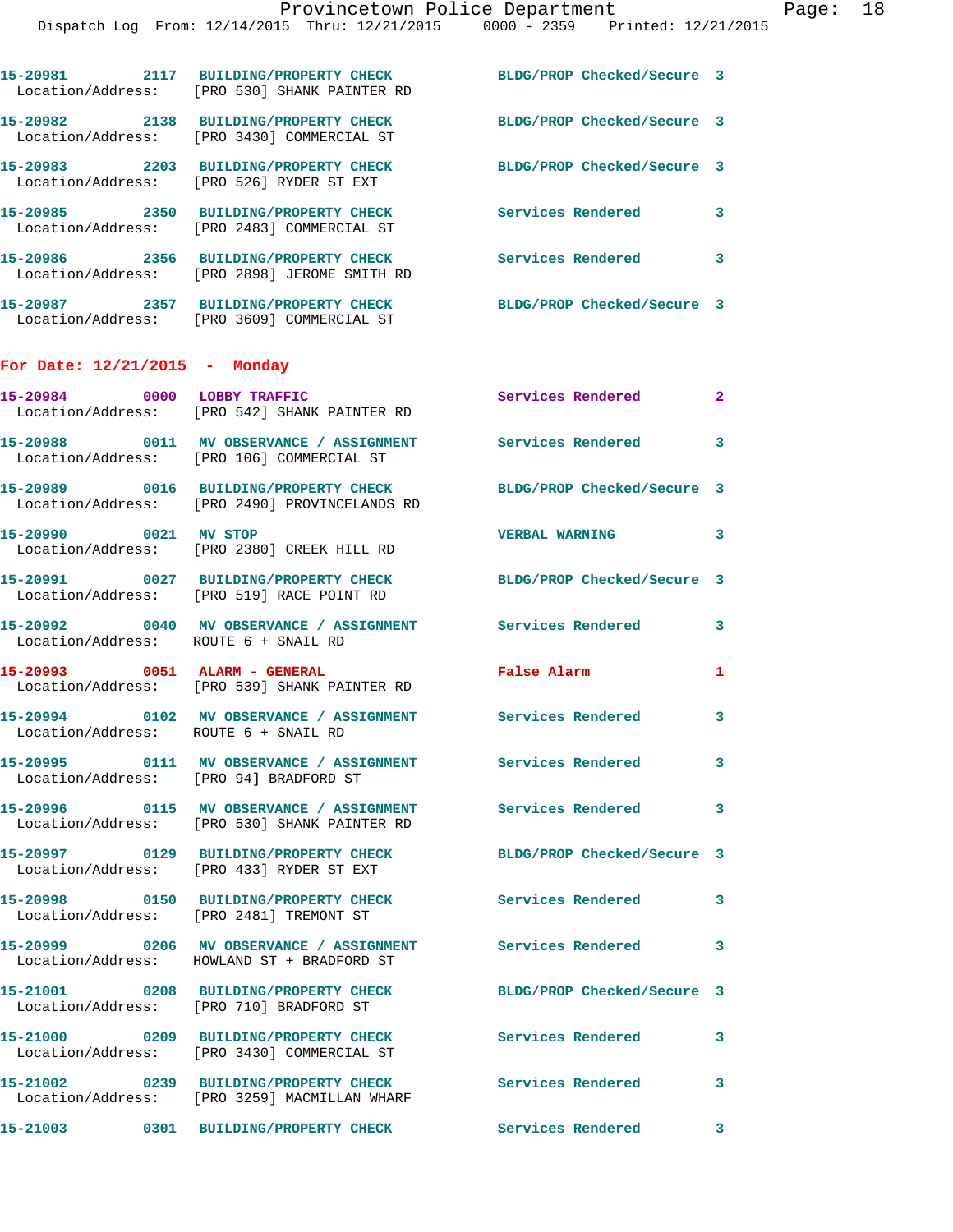| 15-20981                               | 2117 BUILDING/PROPERTY CHECK<br>Location/Address: [PRO 530] SHANK PAINTER RD                                          | BLDG/PROP Checked/Secure 3 |                         |
|----------------------------------------|-----------------------------------------------------------------------------------------------------------------------|----------------------------|-------------------------|
|                                        | 15-20982 2138 BUILDING/PROPERTY CHECK<br>Location/Address: [PRO 3430] COMMERCIAL ST                                   | BLDG/PROP Checked/Secure 3 |                         |
|                                        | 15-20983 2203 BUILDING/PROPERTY CHECK<br>Location/Address: [PRO 526] RYDER ST EXT                                     | BLDG/PROP Checked/Secure 3 |                         |
|                                        | 15-20985 2350 BUILDING/PROPERTY CHECK<br>Location/Address: [PRO 2483] COMMERCIAL ST                                   | Services Rendered          | 3                       |
|                                        | 15-20986 2356 BUILDING/PROPERTY CHECK<br>Location/Address: [PRO 2898] JEROME SMITH RD                                 | Services Rendered 3        |                         |
|                                        | 15-20987 2357 BUILDING/PROPERTY CHECK<br>Location/Address: [PRO 3609] COMMERCIAL ST                                   | BLDG/PROP Checked/Secure 3 |                         |
| For Date: $12/21/2015$ - Monday        |                                                                                                                       |                            |                         |
| 15-20984 0000 LOBBY TRAFFIC            | Location/Address: [PRO 542] SHANK PAINTER RD                                                                          | <b>Services Rendered</b>   | $\mathbf{2}$            |
|                                        | 15-20988 0011 MV OBSERVANCE / ASSIGNMENT Services Rendered<br>Location/Address: [PRO 106] COMMERCIAL ST               |                            | 3                       |
|                                        | 15-20989 0016 BUILDING/PROPERTY CHECK<br>Location/Address: [PRO 2490] PROVINCELANDS RD                                | BLDG/PROP Checked/Secure 3 |                         |
| 15-20990 0021 MV STOP                  | Location/Address: [PRO 2380] CREEK HILL RD                                                                            | <b>VERBAL WARNING</b>      | 3                       |
|                                        | 15-20991 0027 BUILDING/PROPERTY CHECK<br>Location/Address: [PRO 519] RACE POINT RD                                    | BLDG/PROP Checked/Secure 3 |                         |
| Location/Address: ROUTE 6 + SNAIL RD   | 15-20992 0040 MV OBSERVANCE / ASSIGNMENT Services Rendered                                                            |                            | 3                       |
| 15-20993 0051 ALARM - GENERAL          | Location/Address: [PRO 539] SHANK PAINTER RD                                                                          | <b>False Alarm</b>         | 1                       |
| Location/Address: ROUTE 6 + SNAIL RD   | 15-20994 0102 MV OBSERVANCE / ASSIGNMENT Services Rendered                                                            |                            | $\overline{\mathbf{3}}$ |
| Location/Address: [PRO 94] BRADFORD ST | 15-20995 0111 MV OBSERVANCE / ASSIGNMENT Services Rendered                                                            |                            |                         |
|                                        | 15-20996 0115 MV OBSERVANCE / ASSIGNMENT Services Rendered<br>Location/Address: [PRO 530] SHANK PAINTER RD            |                            | $\overline{\mathbf{3}}$ |
|                                        | 15-20997 0129 BUILDING/PROPERTY CHECK<br>Location/Address: [PRO 433] RYDER ST EXT                                     | BLDG/PROP Checked/Secure 3 |                         |
|                                        | 15-20998 0150 BUILDING/PROPERTY CHECK<br>Location/Address: [PRO 2481] TREMONT ST                                      | <b>Services Rendered</b>   | 3                       |
|                                        | 15-20999       0206   MV OBSERVANCE / ASSIGNMENT      Services Rendered<br>Location/Address: HOWLAND ST + BRADFORD ST |                            | 3                       |
|                                        | 15-21001 0208 BUILDING/PROPERTY CHECK<br>Location/Address: [PRO 710] BRADFORD ST                                      | BLDG/PROP Checked/Secure 3 |                         |
|                                        | 15-21000 0209 BUILDING/PROPERTY CHECK<br>Location/Address: [PRO 3430] COMMERCIAL ST                                   | <b>Services Rendered</b>   | 3                       |
|                                        | 15-21002 0239 BUILDING/PROPERTY CHECK<br>Location/Address: [PRO 3259] MACMILLAN WHARF                                 | <b>Services Rendered</b>   | 3                       |
|                                        | 15-21003 0301 BUILDING/PROPERTY CHECK                                                                                 | Services Rendered          | $\overline{\mathbf{3}}$ |